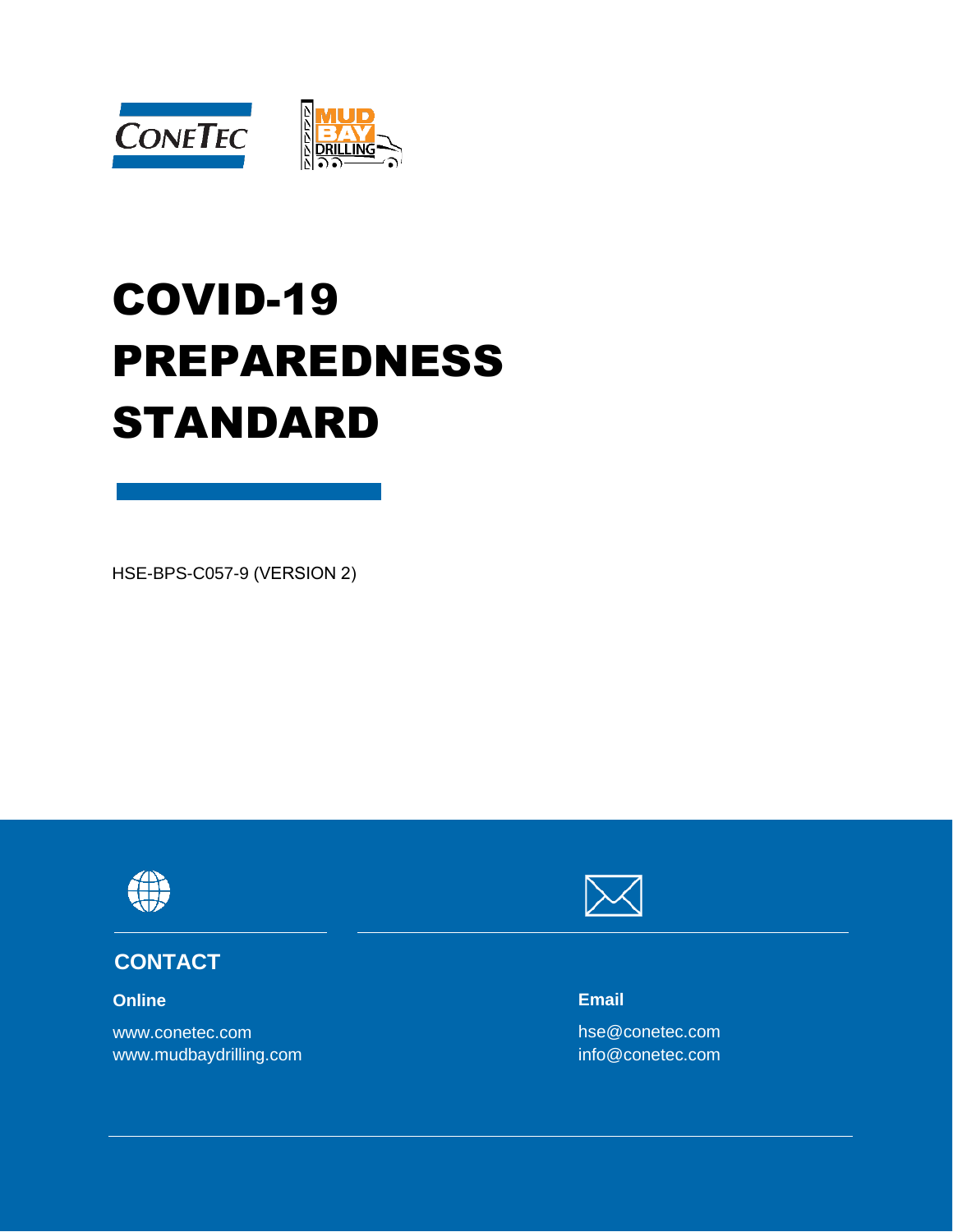

# COVID-19 PREPAREDNESS STANDARD

HSE-BPS-C057-9 (VERSION 2)



#### **CONTACT**

**Online**

www.conetec.com www.mudbaydrilling.com



**Email**

hse@conetec.com info@conetec.com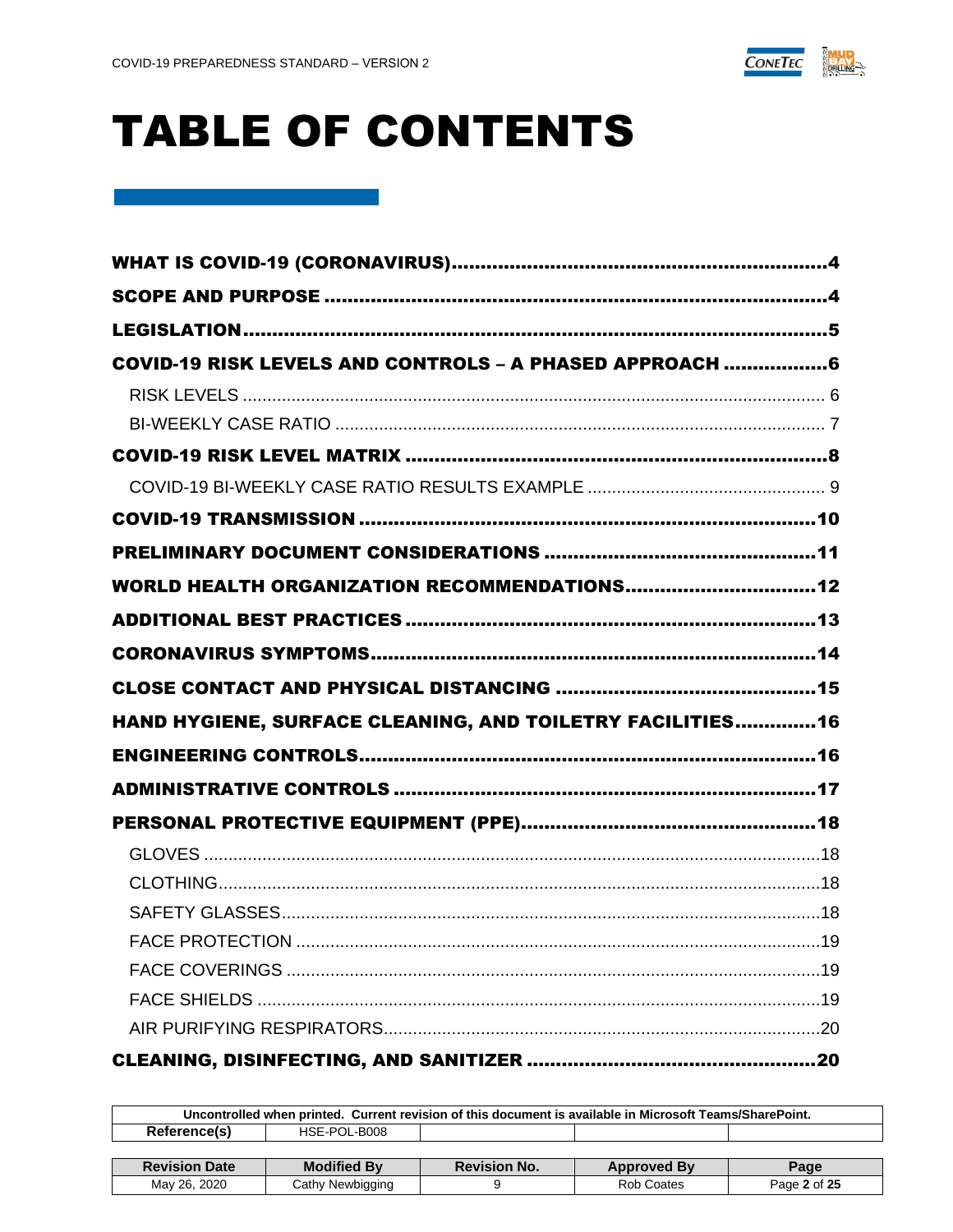

# **TABLE OF CONTENTS**

| COVID-19 RISK LEVELS AND CONTROLS - A PHASED APPROACH 6    |  |
|------------------------------------------------------------|--|
|                                                            |  |
|                                                            |  |
|                                                            |  |
|                                                            |  |
|                                                            |  |
|                                                            |  |
|                                                            |  |
|                                                            |  |
|                                                            |  |
| HAND HYGIENE, SURFACE CLEANING, AND TOILETRY FACILITIES 16 |  |
|                                                            |  |
|                                                            |  |
|                                                            |  |
|                                                            |  |
|                                                            |  |
|                                                            |  |
|                                                            |  |
|                                                            |  |
|                                                            |  |
|                                                            |  |
|                                                            |  |

| Uncontrolled when printed. Current revision of this document is available in Microsoft Teams/SharePoint. |                    |                     |                    |              |  |
|----------------------------------------------------------------------------------------------------------|--------------------|---------------------|--------------------|--------------|--|
| Reference(s)<br>HSE-POL-B008                                                                             |                    |                     |                    |              |  |
|                                                                                                          |                    |                     |                    |              |  |
| <b>Revision Date</b>                                                                                     | <b>Modified By</b> | <b>Revision No.</b> | <b>Approved By</b> | Page         |  |
| May 26, 2020                                                                                             | Cathy Newbigging   |                     | Rob Coates         | Page 2 of 25 |  |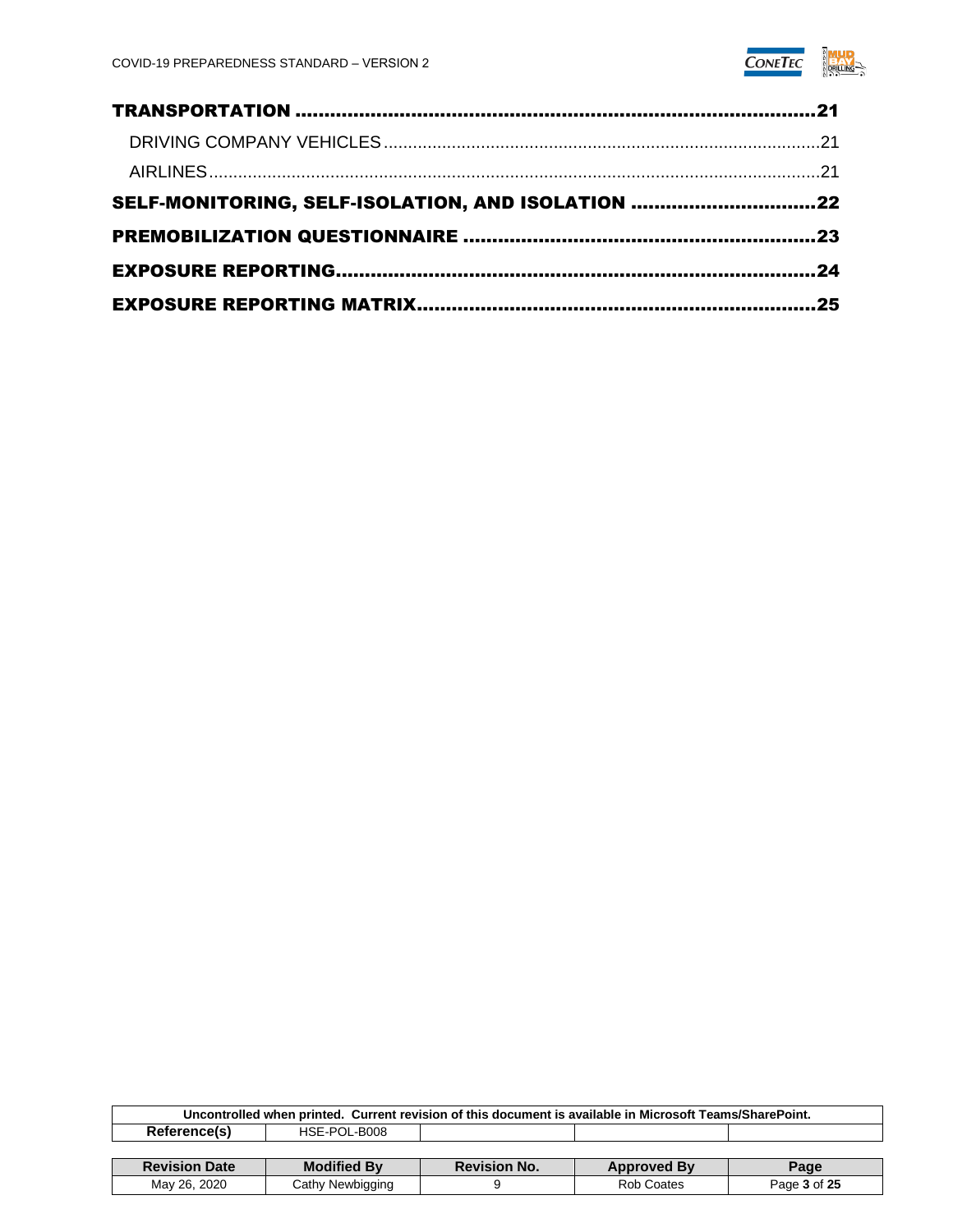

| SELF-MONITORING, SELF-ISOLATION, AND ISOLATION 22 |  |
|---------------------------------------------------|--|
|                                                   |  |
|                                                   |  |
|                                                   |  |

| Uncontrolled when printed. Current revision of this document is available in Microsoft Teams/SharePoint. |                    |                     |                    |              |  |  |
|----------------------------------------------------------------------------------------------------------|--------------------|---------------------|--------------------|--------------|--|--|
| Reference(s)<br>HSE-POL-B008                                                                             |                    |                     |                    |              |  |  |
|                                                                                                          |                    |                     |                    |              |  |  |
| <b>Revision Date</b>                                                                                     | <b>Modified By</b> | <b>Revision No.</b> | <b>Approved By</b> | Page         |  |  |
| May 26, 2020                                                                                             | Cathy Newbigging   |                     | Rob Coates         | Page 3 of 25 |  |  |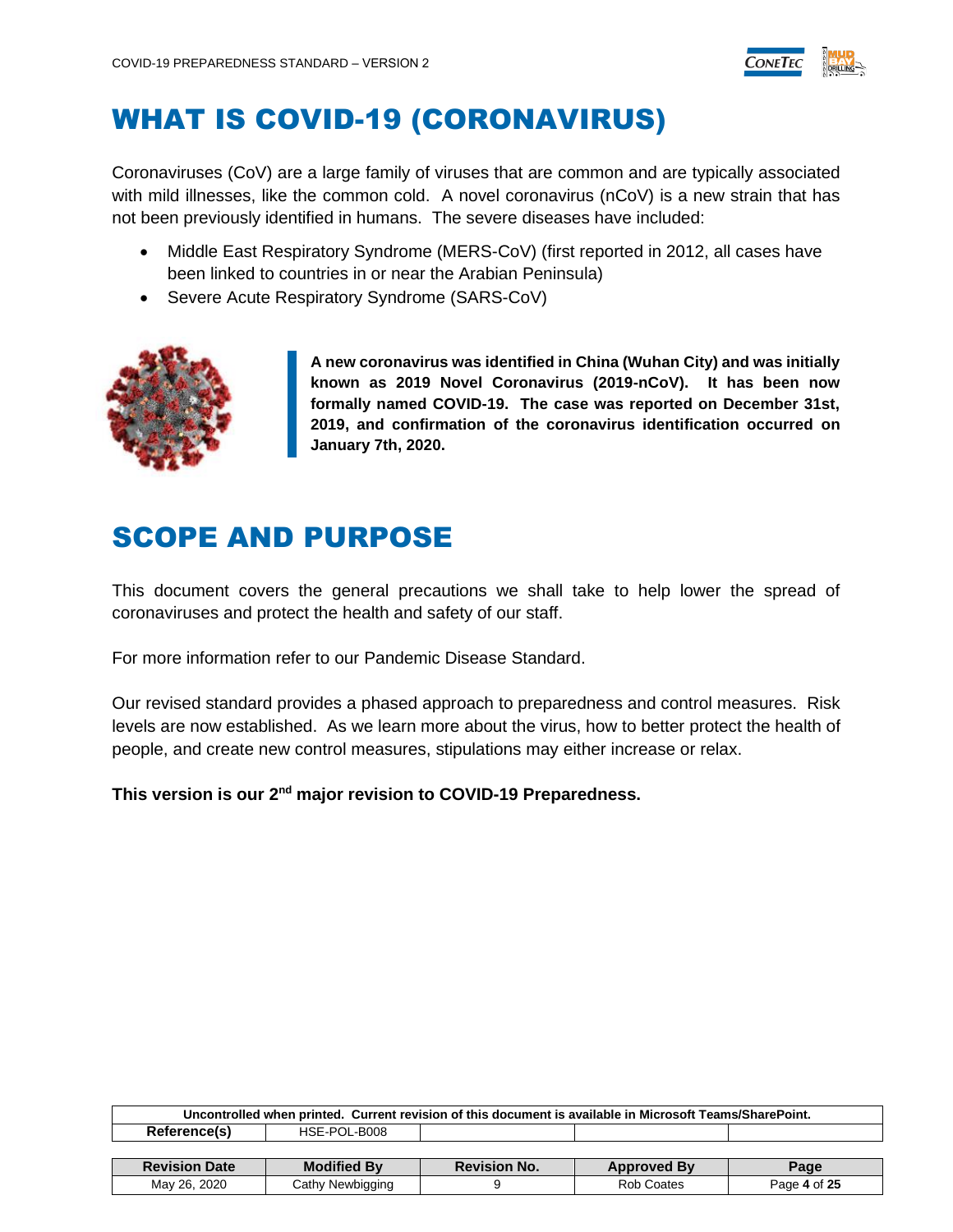

### <span id="page-3-0"></span>WHAT IS COVID-19 (CORONAVIRUS)

Coronaviruses (CoV) are a large family of viruses that are common and are typically associated with mild illnesses, like the common cold. A novel coronavirus (nCoV) is a new strain that has not been previously identified in humans. The severe diseases have included:

- Middle East Respiratory Syndrome (MERS-CoV) (first reported in 2012, all cases have been linked to countries in or near the Arabian Peninsula)
- [Severe Acute Respiratory Syndrome](https://www.ccohs.ca/oshanswers/diseases/sars.html) (SARS-CoV)



**A new coronavirus was identified in China (Wuhan City) and was initially known as 2019 Novel Coronavirus (2019-nCoV). It has been now formally named COVID-19. The case was reported on December 31st, 2019, and confirmation of the coronavirus identification occurred on January 7th, 2020.**

### <span id="page-3-1"></span>SCOPE AND PURPOSE

This document covers the general precautions we shall take to help lower the spread of coronaviruses and protect the health and safety of our staff.

For more information refer to our Pandemic Disease Standard.

Our revised standard provides a phased approach to preparedness and control measures. Risk levels are now established. As we learn more about the virus, how to better protect the health of people, and create new control measures, stipulations may either increase or relax.

**This version is our 2nd major revision to COVID-19 Preparedness.**

| Uncontrolled when printed. Current revision of this document is available in Microsoft Teams/SharePoint. |                    |                     |                    |              |  |  |
|----------------------------------------------------------------------------------------------------------|--------------------|---------------------|--------------------|--------------|--|--|
| Reference(s)<br>HSE-POL-B008                                                                             |                    |                     |                    |              |  |  |
|                                                                                                          |                    |                     |                    |              |  |  |
| <b>Revision Date</b>                                                                                     | <b>Modified By</b> | <b>Revision No.</b> | <b>Approved By</b> | Page         |  |  |
| May 26, 2020                                                                                             | Cathy Newbigging   |                     | Rob Coates         | Page 4 of 25 |  |  |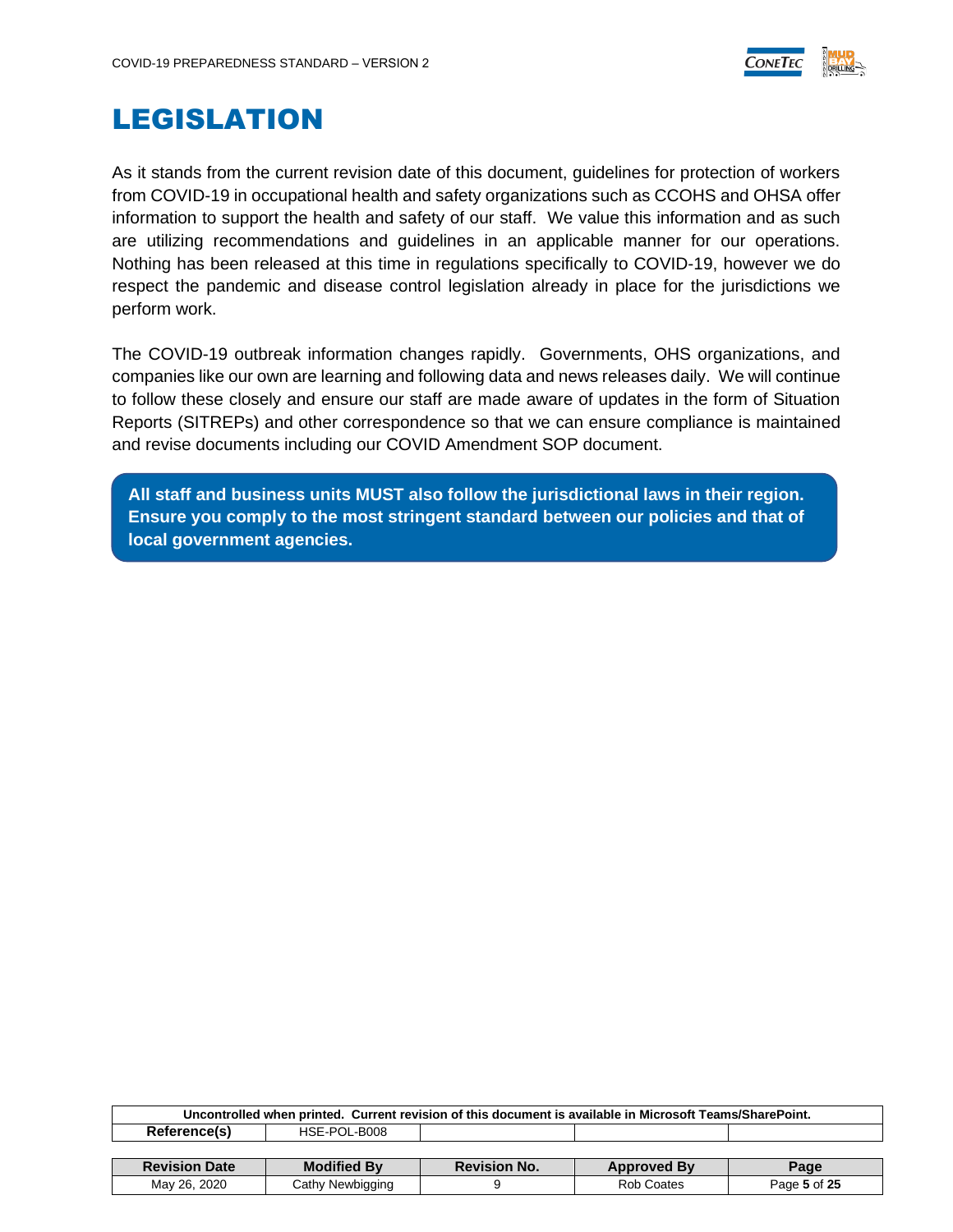

### <span id="page-4-0"></span>LEGISLATION

As it stands from the current revision date of this document, guidelines for protection of workers from COVID-19 in occupational health and safety organizations such as CCOHS and OHSA offer information to support the health and safety of our staff. We value this information and as such are utilizing recommendations and guidelines in an applicable manner for our operations. Nothing has been released at this time in regulations specifically to COVID-19, however we do respect the pandemic and disease control legislation already in place for the jurisdictions we perform work.

The COVID-19 outbreak information changes rapidly. Governments, OHS organizations, and companies like our own are learning and following data and news releases daily. We will continue to follow these closely and ensure our staff are made aware of updates in the form of Situation Reports (SITREPs) and other correspondence so that we can ensure compliance is maintained and revise documents including our COVID Amendment SOP document.

<span id="page-4-1"></span>**All staff and business units MUST also follow the jurisdictional laws in their region. Ensure you comply to the most stringent standard between our policies and that of local government agencies.**

| Uncontrolled when printed. Current revision of this document is available in Microsoft Teams/SharePoint. |                    |                     |                    |              |  |
|----------------------------------------------------------------------------------------------------------|--------------------|---------------------|--------------------|--------------|--|
| Reference(s)                                                                                             | HSE-POL-B008       |                     |                    |              |  |
|                                                                                                          |                    |                     |                    |              |  |
| <b>Revision Date</b>                                                                                     | <b>Modified By</b> | <b>Revision No.</b> | <b>Approved By</b> | Page         |  |
| May 26, 2020                                                                                             | Cathy Newbigging   |                     | Rob Coates         | Page 5 of 25 |  |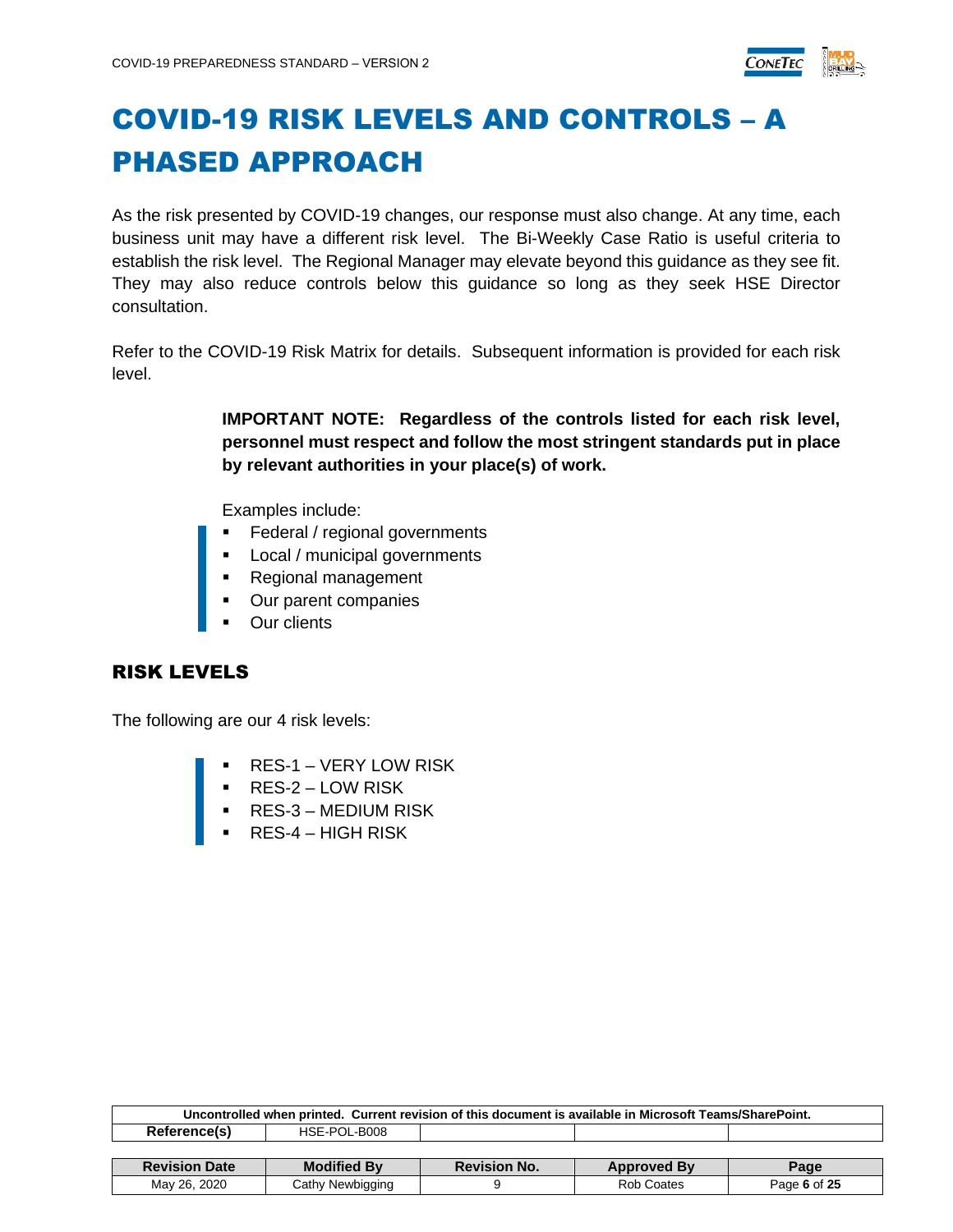

# COVID-19 RISK LEVELS AND CONTROLS – A PHASED APPROACH

As the risk presented by COVID-19 changes, our response must also change. At any time, each business unit may have a different risk level. The Bi-Weekly Case Ratio is useful criteria to establish the risk level. The Regional Manager may elevate beyond this guidance as they see fit. They may also reduce controls below this guidance so long as they seek HSE Director consultation.

Refer to the COVID-19 Risk Matrix for details. Subsequent information is provided for each risk level.

> **IMPORTANT NOTE: Regardless of the controls listed for each risk level, personnel must respect and follow the most stringent standards put in place by relevant authorities in your place(s) of work.**

Examples include:

- Federal / regional governments
- **•** Local / municipal governments
- Regional management
- Our parent companies
- **Our clients**

#### <span id="page-5-0"></span>RISK LEVELS

The following are our 4 risk levels:

- **RES-1 VERY LOW RISK**
- RES-2 LOW RISK
- RES-3 MEDIUM RISK
- <span id="page-5-1"></span> $RES-4$  – HIGH RISK

| Uncontrolled when printed. Current revision of this document is available in Microsoft Teams/SharePoint. |                    |                     |                    |      |  |  |
|----------------------------------------------------------------------------------------------------------|--------------------|---------------------|--------------------|------|--|--|
| Reference(s)<br>HSE-POL-B008                                                                             |                    |                     |                    |      |  |  |
|                                                                                                          |                    |                     |                    |      |  |  |
|                                                                                                          |                    |                     |                    |      |  |  |
| <b>Revision Date</b>                                                                                     | <b>Modified By</b> | <b>Revision No.</b> | <b>Approved By</b> | Page |  |  |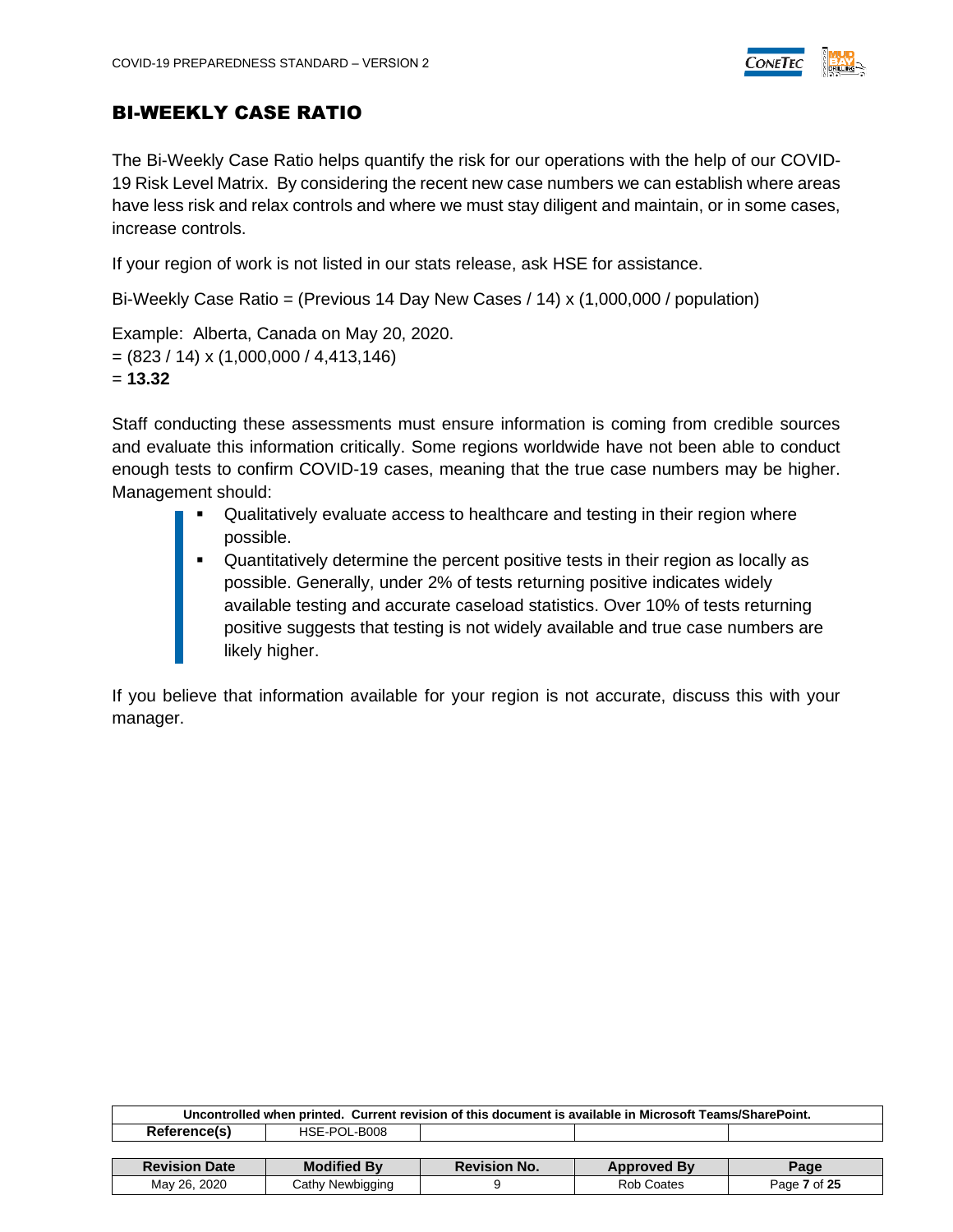

#### BI-WEEKLY CASE RATIO

The Bi-Weekly Case Ratio helps quantify the risk for our operations with the help of our COVID-19 Risk Level Matrix. By considering the recent new case numbers we can establish where areas have less risk and relax controls and where we must stay diligent and maintain, or in some cases, increase controls.

If your region of work is not listed in our stats release, ask HSE for assistance.

Bi-Weekly Case Ratio = (Previous 14 Day New Cases / 14) x (1,000,000 / population)

Example: Alberta, Canada on May 20, 2020.  $=(823 / 14) \times (1,000,000 / 4,413,146)$ = **13.32**

Staff conducting these assessments must ensure information is coming from credible sources and evaluate this information critically. Some regions worldwide have not been able to conduct enough tests to confirm COVID-19 cases, meaning that the true case numbers may be higher. Management should:

- Qualitatively evaluate access to healthcare and testing in their region where possible.
- Quantitatively determine the percent positive tests in their region as locally as possible. Generally, under 2% of tests returning positive indicates widely available testing and accurate caseload statistics. Over 10% of tests returning positive suggests that testing is not widely available and true case numbers are likely higher.

If you believe that information available for your region is not accurate, discuss this with your manager.

| Uncontrolled when printed. Current revision of this document is available in Microsoft Teams/SharePoint. |                    |                     |                    |      |  |  |
|----------------------------------------------------------------------------------------------------------|--------------------|---------------------|--------------------|------|--|--|
| Reference(s)<br>HSE-POL-B008                                                                             |                    |                     |                    |      |  |  |
|                                                                                                          |                    |                     |                    |      |  |  |
|                                                                                                          |                    |                     |                    |      |  |  |
| <b>Revision Date</b>                                                                                     | <b>Modified By</b> | <b>Revision No.</b> | <b>Approved By</b> | Page |  |  |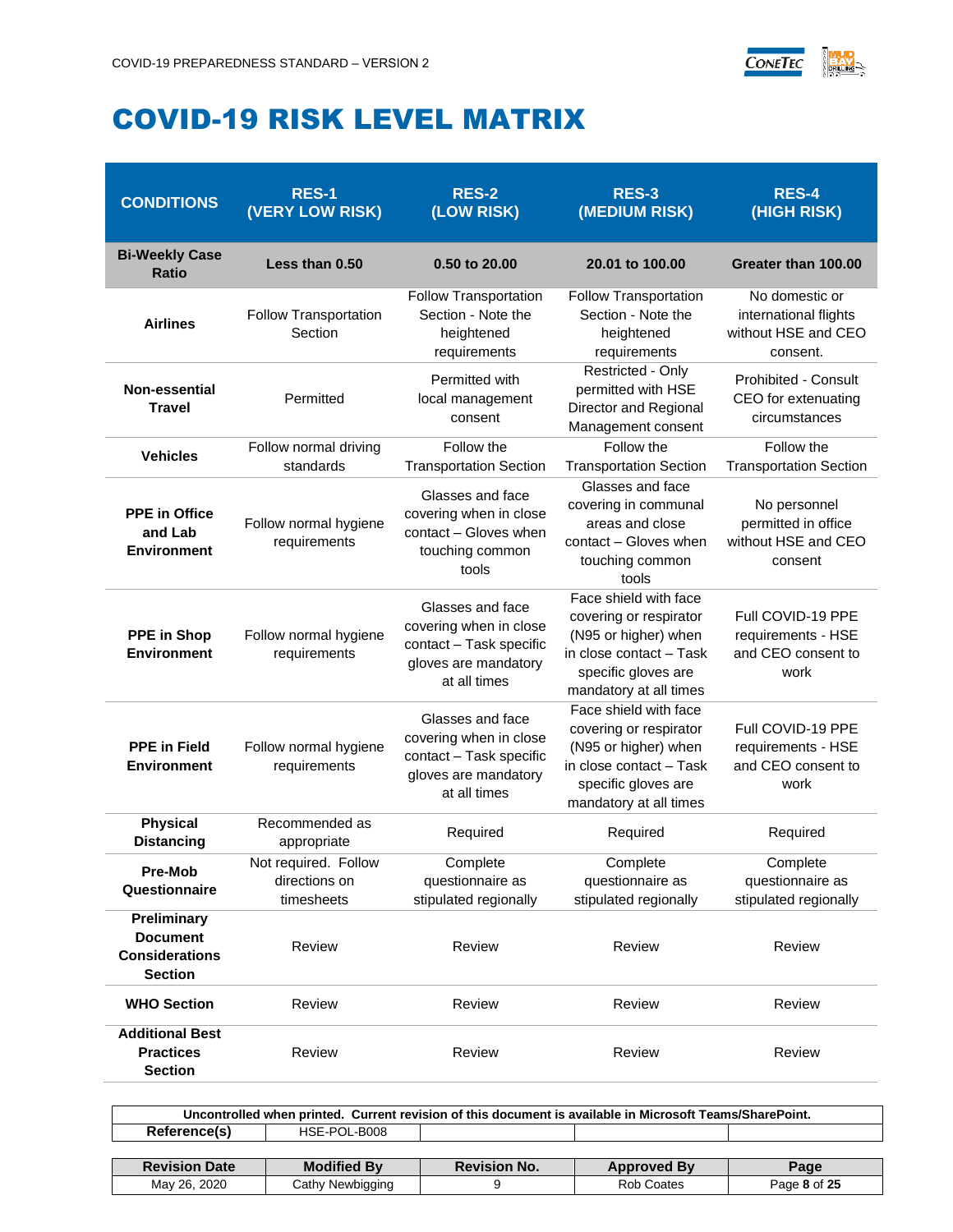

### <span id="page-7-0"></span>COVID-19 RISK LEVEL MATRIX

| <b>CONDITIONS</b>                                                         | <b>RES-1</b><br>(VERY LOW RISK)                     | <b>RES-2</b><br>(LOW RISK)                                                                                                                                                                                          | <b>RES-3</b><br>(MEDIUM RISK)                                                                                                                       | <b>RES-4</b><br>(HIGH RISK)                                                |
|---------------------------------------------------------------------------|-----------------------------------------------------|---------------------------------------------------------------------------------------------------------------------------------------------------------------------------------------------------------------------|-----------------------------------------------------------------------------------------------------------------------------------------------------|----------------------------------------------------------------------------|
| <b>Bi-Weekly Case</b><br><b>Ratio</b>                                     | Less than 0.50                                      | 0.50 to 20.00                                                                                                                                                                                                       | 20.01 to 100.00                                                                                                                                     | Greater than 100.00                                                        |
| <b>Airlines</b>                                                           | Follow Transportation<br>Section                    | Follow Transportation<br>Section - Note the<br>heightened<br>requirements                                                                                                                                           | Follow Transportation<br>Section - Note the<br>heightened<br>requirements                                                                           | No domestic or<br>international flights<br>without HSE and CEO<br>consent. |
| <b>Non-essential</b><br><b>Travel</b>                                     | Permitted                                           | Permitted with<br>local management<br>consent                                                                                                                                                                       | Restricted - Only<br>permitted with HSE<br>Director and Regional<br>Management consent                                                              | <b>Prohibited - Consult</b><br>CEO for extenuating<br>circumstances        |
| <b>Vehicles</b>                                                           | Follow normal driving<br>standards                  | Follow the<br><b>Transportation Section</b>                                                                                                                                                                         | Follow the<br><b>Transportation Section</b>                                                                                                         |                                                                            |
| <b>PPE</b> in Office<br>and Lab<br><b>Environment</b>                     | Follow normal hygiene<br>requirements               | Glasses and face<br>Glasses and face<br>covering in communal<br>covering when in close<br>areas and close<br>contact - Gloves when<br>contact - Gloves when<br>touching common<br>touching common<br>tools<br>tools |                                                                                                                                                     | No personnel<br>permitted in office<br>without HSE and CEO<br>consent      |
| <b>PPE in Shop</b><br><b>Environment</b>                                  | Follow normal hygiene<br>requirements               | Glasses and face<br>covering when in close<br>contact - Task specific<br>gloves are mandatory<br>at all times                                                                                                       | Face shield with face<br>covering or respirator<br>(N95 or higher) when<br>in close contact - Task<br>specific gloves are<br>mandatory at all times | Full COVID-19 PPE<br>requirements - HSE<br>and CEO consent to<br>work      |
| <b>PPE</b> in Field<br><b>Environment</b>                                 | Follow normal hygiene<br>requirements               | Glasses and face<br>covering when in close<br>contact - Task specific<br>gloves are mandatory<br>at all times                                                                                                       | Face shield with face<br>covering or respirator<br>(N95 or higher) when<br>in close contact - Task<br>specific gloves are<br>mandatory at all times | Full COVID-19 PPE<br>requirements - HSE<br>and CEO consent to<br>work      |
| <b>Physical</b><br><b>Distancing</b>                                      | Recommended as<br>appropriate                       | Required                                                                                                                                                                                                            | Required                                                                                                                                            | Required                                                                   |
| <b>Pre-Mob</b><br>Questionnaire                                           | Not required. Follow<br>directions on<br>timesheets | Complete<br>questionnaire as<br>stipulated regionally                                                                                                                                                               | Complete<br>questionnaire as<br>stipulated regionally                                                                                               | Complete<br>questionnaire as<br>stipulated regionally                      |
| Preliminary<br><b>Document</b><br><b>Considerations</b><br><b>Section</b> | Review                                              | Review                                                                                                                                                                                                              | Review                                                                                                                                              | Review                                                                     |
| <b>WHO Section</b>                                                        | Review                                              | Review                                                                                                                                                                                                              | Review                                                                                                                                              | Review                                                                     |
| <b>Additional Best</b><br><b>Practices</b><br><b>Section</b>              | Review                                              | Review                                                                                                                                                                                                              | Review                                                                                                                                              | Review                                                                     |

| Uncontrolled when printed. Current revision of this document is available in Microsoft Teams/SharePoint. |                    |                     |                    |      |  |
|----------------------------------------------------------------------------------------------------------|--------------------|---------------------|--------------------|------|--|
| Reference(s)<br>HSE-POL-B008                                                                             |                    |                     |                    |      |  |
|                                                                                                          |                    |                     |                    |      |  |
|                                                                                                          |                    |                     |                    |      |  |
| <b>Revision Date</b>                                                                                     | <b>Modified By</b> | <b>Revision No.</b> | <b>Approved By</b> | Page |  |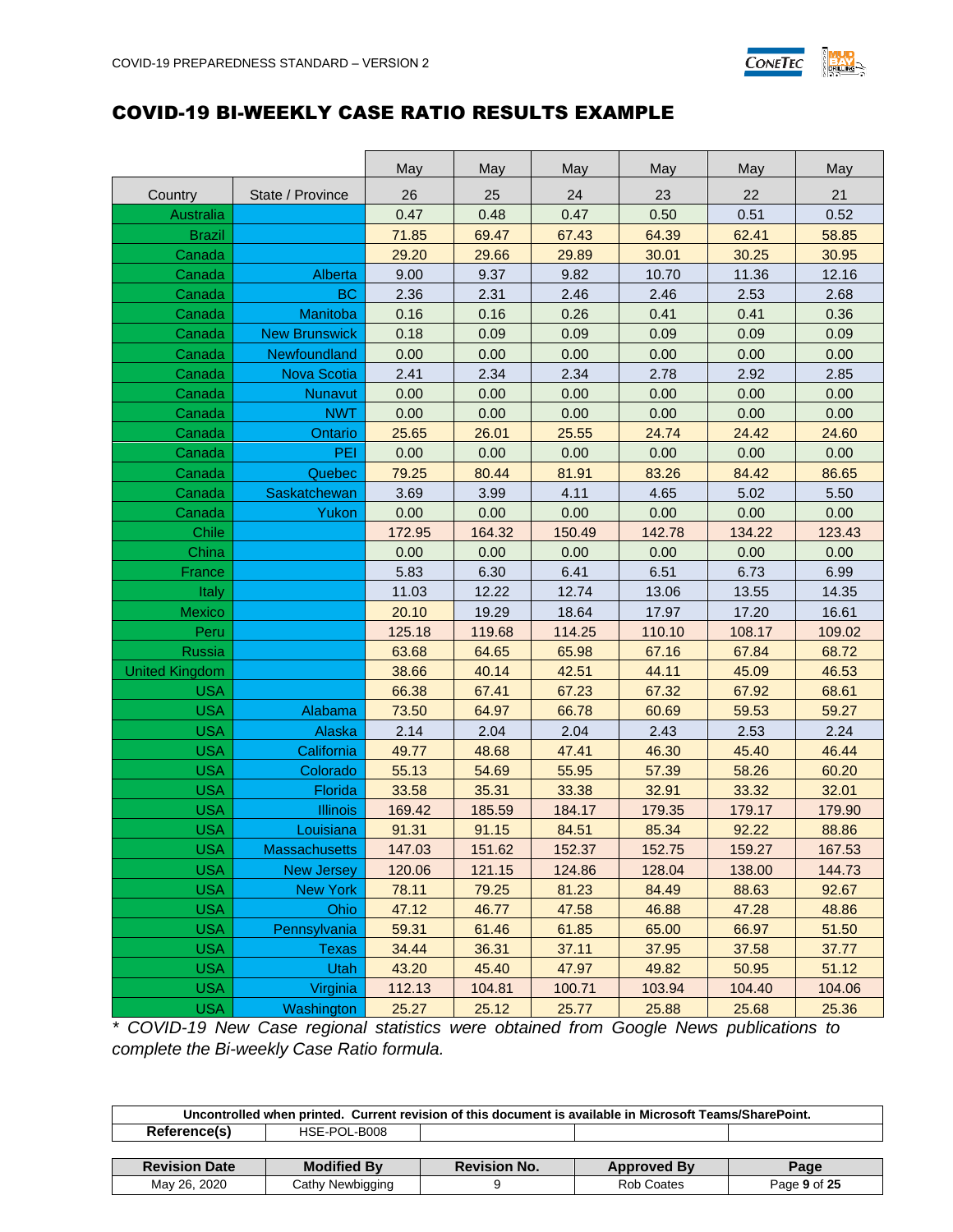

#### <span id="page-8-0"></span>COVID-19 BI-WEEKLY CASE RATIO RESULTS EXAMPLE

|                       |                      | May    | May    | May    | May    | May    | May    |
|-----------------------|----------------------|--------|--------|--------|--------|--------|--------|
| Country               | State / Province     | 26     | 25     | 24     | 23     | 22     | 21     |
| <b>Australia</b>      |                      | 0.47   | 0.48   | 0.47   | 0.50   | 0.51   | 0.52   |
| <b>Brazil</b>         |                      | 71.85  | 69.47  | 67.43  | 64.39  | 62.41  | 58.85  |
| Canada                |                      | 29.20  | 29.66  | 29.89  | 30.01  | 30.25  | 30.95  |
| Canada                | Alberta              | 9.00   | 9.37   | 9.82   | 10.70  | 11.36  | 12.16  |
| Canada                | <b>BC</b>            | 2.36   | 2.31   | 2.46   | 2.46   | 2.53   | 2.68   |
| Canada                | Manitoba             | 0.16   | 0.16   | 0.26   | 0.41   | 0.41   | 0.36   |
| Canada                | <b>New Brunswick</b> | 0.18   | 0.09   | 0.09   | 0.09   | 0.09   | 0.09   |
| Canada                | Newfoundland         | 0.00   | 0.00   | 0.00   | 0.00   | 0.00   | 0.00   |
| Canada                | <b>Nova Scotia</b>   | 2.41   | 2.34   | 2.34   | 2.78   | 2.92   | 2.85   |
| Canada                | Nunavut              | 0.00   | 0.00   | 0.00   | 0.00   | 0.00   | 0.00   |
| Canada                | <b>NWT</b>           | 0.00   | 0.00   | 0.00   | 0.00   | 0.00   | 0.00   |
| Canada                | Ontario              | 25.65  | 26.01  | 25.55  | 24.74  | 24.42  | 24.60  |
| Canada                | PEI                  | 0.00   | 0.00   | 0.00   | 0.00   | 0.00   | 0.00   |
| Canada                | Quebec               | 79.25  | 80.44  | 81.91  | 83.26  | 84.42  | 86.65  |
| Canada                | Saskatchewan         | 3.69   | 3.99   | 4.11   | 4.65   | 5.02   | 5.50   |
| Canada                | Yukon                | 0.00   | 0.00   | 0.00   | 0.00   | 0.00   | 0.00   |
| Chile                 |                      | 172.95 | 164.32 | 150.49 | 142.78 | 134.22 | 123.43 |
| China                 |                      | 0.00   | 0.00   | 0.00   | 0.00   | 0.00   | 0.00   |
| France                |                      | 5.83   | 6.30   | 6.41   | 6.51   | 6.73   | 6.99   |
| Italy                 |                      | 11.03  | 12.22  | 12.74  | 13.06  | 13.55  | 14.35  |
| Mexico                |                      | 20.10  | 19.29  | 18.64  | 17.97  | 17.20  | 16.61  |
| Peru                  |                      | 125.18 | 119.68 | 114.25 | 110.10 | 108.17 | 109.02 |
| Russia                |                      | 63.68  | 64.65  | 65.98  | 67.16  | 67.84  | 68.72  |
| <b>United Kingdom</b> |                      | 38.66  | 40.14  | 42.51  | 44.11  | 45.09  | 46.53  |
| <b>USA</b>            |                      | 66.38  | 67.41  | 67.23  | 67.32  | 67.92  | 68.61  |
| <b>USA</b>            | Alabama              | 73.50  | 64.97  | 66.78  | 60.69  | 59.53  | 59.27  |
| <b>USA</b>            | Alaska               | 2.14   | 2.04   | 2.04   | 2.43   | 2.53   | 2.24   |
| <b>USA</b>            | California           | 49.77  | 48.68  | 47.41  | 46.30  | 45.40  | 46.44  |
| <b>USA</b>            | Colorado             | 55.13  | 54.69  | 55.95  | 57.39  | 58.26  | 60.20  |
| <b>USA</b>            | Florida              | 33.58  | 35.31  | 33.38  | 32.91  | 33.32  | 32.01  |
| <b>USA</b>            | <b>Illinois</b>      | 169.42 | 185.59 | 184.17 | 179.35 | 179.17 | 179.90 |
| <b>USA</b>            | Louisiana            | 91.31  | 91.15  | 84.51  | 85.34  | 92.22  | 88.86  |
| <b>USA</b>            | <b>Massachusetts</b> | 147.03 | 151.62 | 152.37 | 152.75 | 159.27 | 167.53 |
| <b>USA</b>            | New Jersey           | 120.06 | 121.15 | 124.86 | 128.04 | 138.00 | 144.73 |
| <b>USA</b>            | <b>New York</b>      | 78.11  | 79.25  | 81.23  | 84.49  | 88.63  | 92.67  |
| <b>USA</b>            | Ohio                 | 47.12  | 46.77  | 47.58  | 46.88  | 47.28  | 48.86  |
| <b>USA</b>            | Pennsylvania         | 59.31  | 61.46  | 61.85  | 65.00  | 66.97  | 51.50  |
| <b>USA</b>            | <b>Texas</b>         | 34.44  | 36.31  | 37.11  | 37.95  | 37.58  | 37.77  |
| <b>USA</b>            | Utah                 | 43.20  | 45.40  | 47.97  | 49.82  | 50.95  | 51.12  |
| <b>USA</b>            | Virginia             | 112.13 | 104.81 | 100.71 | 103.94 | 104.40 | 104.06 |
| <b>USA</b>            | Washington           | 25.27  | 25.12  | 25.77  | 25.88  | 25.68  | 25.36  |

*\* COVID-19 New Case regional statistics were obtained from Google News publications to complete the Bi-weekly Case Ratio formula.*

| Uncontrolled when printed. Current revision of this document is available in Microsoft Teams/SharePoint. |                    |                     |                    |              |  |
|----------------------------------------------------------------------------------------------------------|--------------------|---------------------|--------------------|--------------|--|
| Reference(s)                                                                                             | HSE-POL-B008       |                     |                    |              |  |
|                                                                                                          |                    |                     |                    |              |  |
| <b>Revision Date</b>                                                                                     | <b>Modified By</b> | <b>Revision No.</b> | <b>Approved By</b> | Page         |  |
| May 26, 2020                                                                                             | Cathy Newbigging   |                     | Rob Coates         | Page 9 of 25 |  |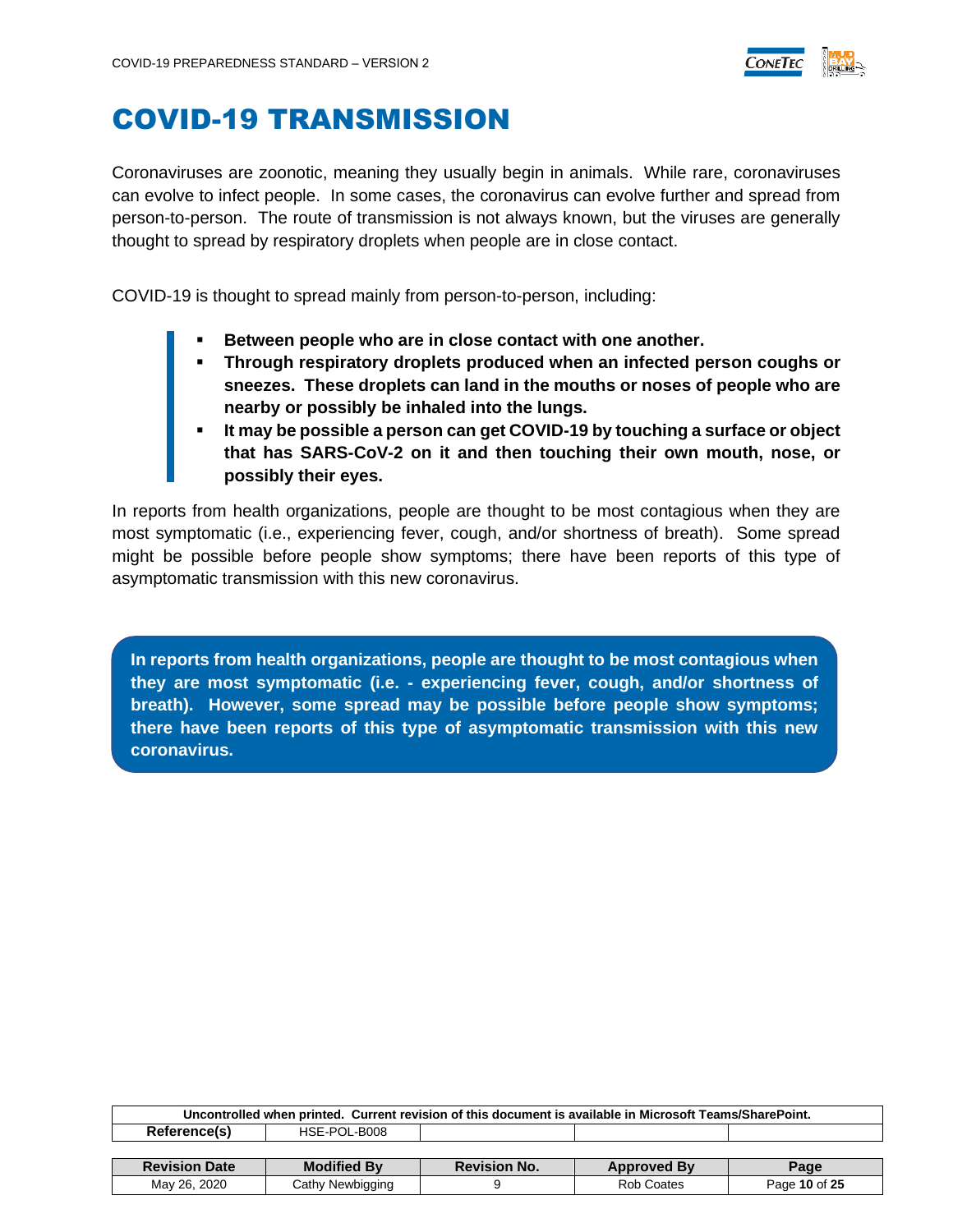

### <span id="page-9-0"></span>COVID-19 TRANSMISSION

Coronaviruses are zoonotic, meaning they usually begin in animals. While rare, coronaviruses can evolve to infect people. In some cases, the coronavirus can evolve further and spread from person-to-person. The route of transmission is not always known, but the viruses are generally thought to spread by respiratory droplets when people are in close contact.

COVID-19 is thought to spread mainly from person-to-person, including:

- **Between people who are in close contact with one another.**
- **Through respiratory droplets produced when an infected person coughs or sneezes. These droplets can land in the mouths or noses of people who are nearby or possibly be inhaled into the lungs.**
- **It may be possible a person can get COVID-19 by touching a surface or object that has SARS-CoV-2 on it and then touching their own mouth, nose, or possibly their eyes.**

In reports from health organizations, people are thought to be most contagious when they are most symptomatic (i.e., experiencing fever, cough, and/or shortness of breath). Some spread might be possible before people show symptoms; there have been reports of this type of asymptomatic transmission with this new coronavirus.

**In reports from health organizations, people are thought to be most contagious when they are most symptomatic (i.e. - experiencing fever, cough, and/or shortness of breath). However, some spread may be possible before people show symptoms; there have been reports of this type of asymptomatic transmission with this new coronavirus.**

| Uncontrolled when printed. Current revision of this document is available in Microsoft Teams/SharePoint. |                    |                     |                    |      |  |
|----------------------------------------------------------------------------------------------------------|--------------------|---------------------|--------------------|------|--|
| Reference(s)                                                                                             | HSE-POL-B008       |                     |                    |      |  |
|                                                                                                          |                    |                     |                    |      |  |
|                                                                                                          |                    |                     |                    |      |  |
| <b>Revision Date</b>                                                                                     | <b>Modified By</b> | <b>Revision No.</b> | <b>Approved By</b> | Page |  |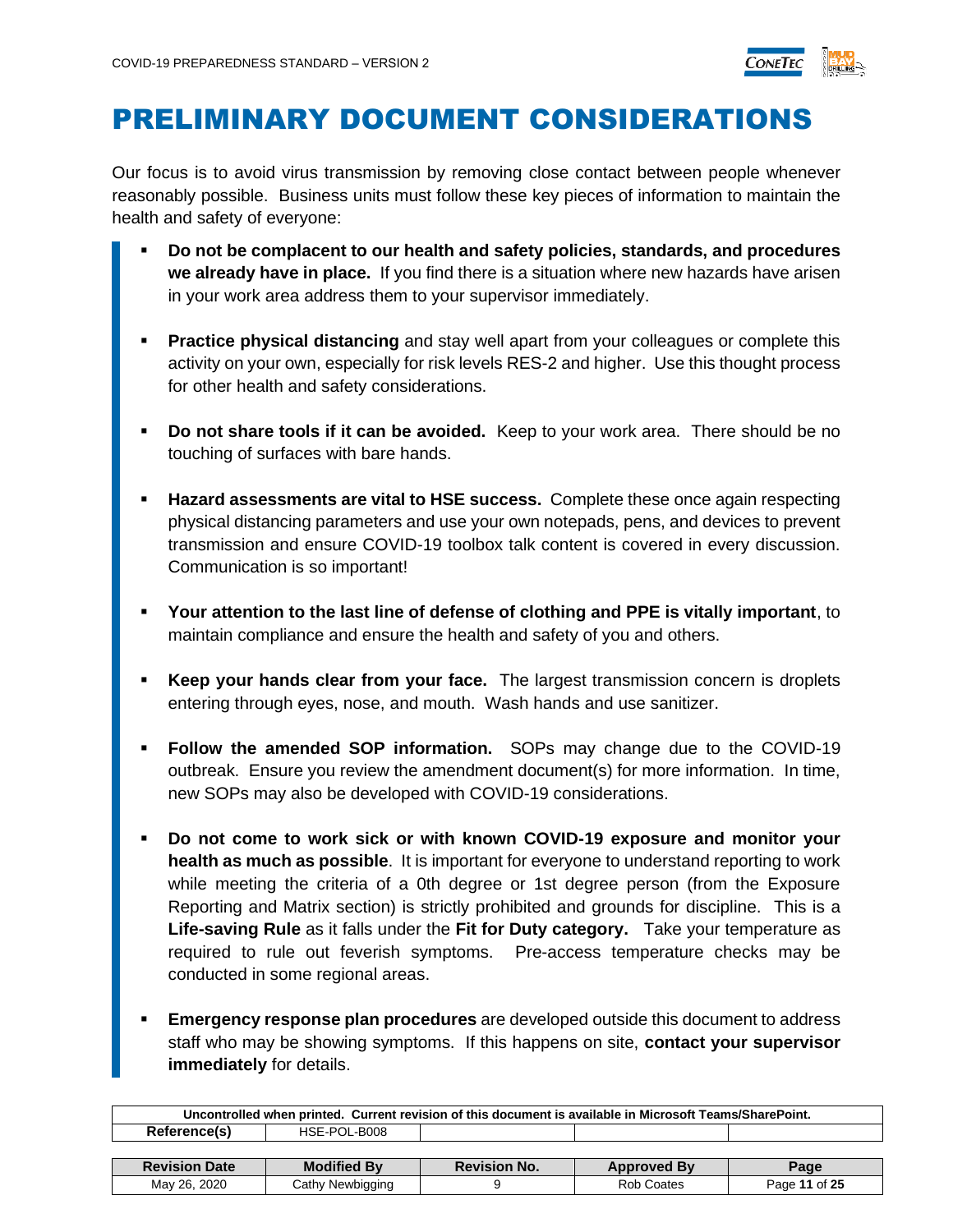

### <span id="page-10-0"></span>PRELIMINARY DOCUMENT CONSIDERATIONS

Our focus is to avoid virus transmission by removing close contact between people whenever reasonably possible. Business units must follow these key pieces of information to maintain the health and safety of everyone:

- **Do not be complacent to our health and safety policies, standards, and procedures we already have in place.** If you find there is a situation where new hazards have arisen in your work area address them to your supervisor immediately.
- **Practice physical distancing** and stay well apart from your colleagues or complete this activity on your own, especially for risk levels RES-2 and higher. Use this thought process for other health and safety considerations.
- **Do not share tools if it can be avoided.** Keep to your work area. There should be no touching of surfaces with bare hands.
- **Hazard assessments are vital to HSE success.** Complete these once again respecting physical distancing parameters and use your own notepads, pens, and devices to prevent transmission and ensure COVID-19 toolbox talk content is covered in every discussion. Communication is so important!
- **Your attention to the last line of defense of clothing and PPE is vitally important**, to maintain compliance and ensure the health and safety of you and others.
- **Keep your hands clear from your face.** The largest transmission concern is droplets entering through eyes, nose, and mouth. Wash hands and use sanitizer.
- Follow the amended SOP information. SOPs may change due to the COVID-19 outbreak. Ensure you review the amendment document(s) for more information. In time, new SOPs may also be developed with COVID-19 considerations.
- **Do not come to work sick or with known COVID-19 exposure and monitor your health as much as possible**. It is important for everyone to understand reporting to work while meeting the criteria of a 0th degree or 1st degree person (from the Exposure Reporting and Matrix section) is strictly prohibited and grounds for discipline. This is a **Life-saving Rule** as it falls under the **Fit for Duty category.** Take your temperature as required to rule out feverish symptoms. Pre-access temperature checks may be conducted in some regional areas.
- **Emergency response plan procedures** are developed outside this document to address staff who may be showing symptoms. If this happens on site, **contact your supervisor immediately** for details.

| Uncontrolled when printed. Current revision of this document is available in Microsoft Teams/SharePoint. |                    |                     |                    |               |  |
|----------------------------------------------------------------------------------------------------------|--------------------|---------------------|--------------------|---------------|--|
| Reference(s)                                                                                             | HSE-POL-B008       |                     |                    |               |  |
|                                                                                                          |                    |                     |                    |               |  |
| <b>Revision Date</b>                                                                                     | <b>Modified By</b> | <b>Revision No.</b> | <b>Approved By</b> | Page          |  |
| May 26, 2020                                                                                             | Cathy Newbigging   |                     | Rob Coates         | Page 11 of 25 |  |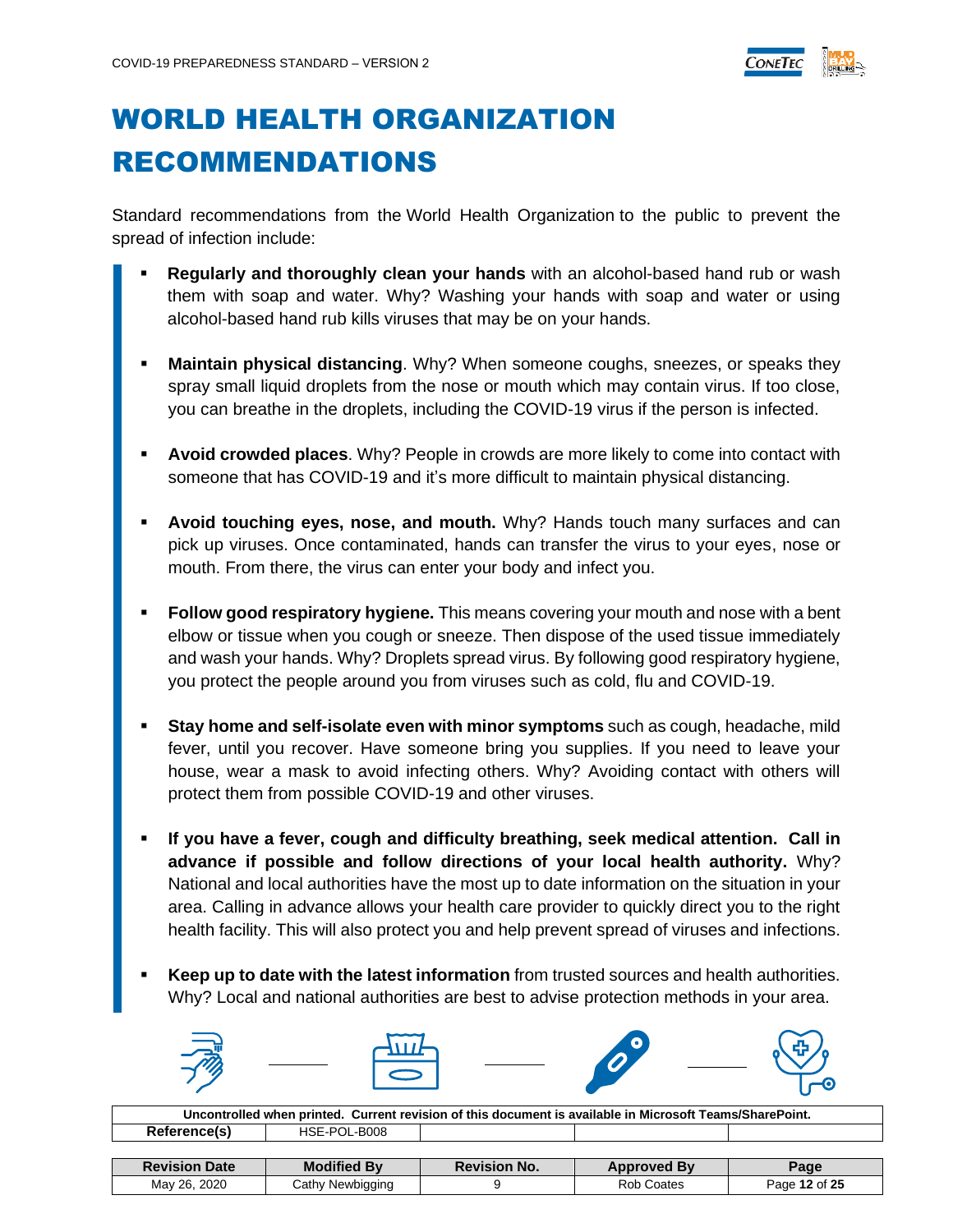

# <span id="page-11-0"></span>WORLD HEALTH ORGANIZATION RECOMMENDATIONS

Standard recommendations from the World Health Organization to the public to prevent the spread of infection include:

- **Regularly and thoroughly clean your hands** with an alcohol-based hand rub or wash them with soap and water. Why? Washing your hands with soap and water or using alcohol-based hand rub kills viruses that may be on your hands.
- **Maintain physical distancing**. Why? When someone coughs, sneezes, or speaks they spray small liquid droplets from the nose or mouth which may contain virus. If too close, you can breathe in the droplets, including the COVID-19 virus if the person is infected.
- **Avoid crowded places**. Why? People in crowds are more likely to come into contact with someone that has COVID-19 and it's more difficult to maintain physical distancing.
- **Avoid touching eyes, nose, and mouth.** Why? Hands touch many surfaces and can pick up viruses. Once contaminated, hands can transfer the virus to your eyes, nose or mouth. From there, the virus can enter your body and infect you.
- **Follow good respiratory hygiene.** This means covering your mouth and nose with a bent elbow or tissue when you cough or sneeze. Then dispose of the used tissue immediately and wash your hands. Why? Droplets spread virus. By following good respiratory hygiene, you protect the people around you from viruses such as cold, flu and COVID-19.
- **Stay home and self-isolate even with minor symptoms** such as cough, headache, mild fever, until you recover. Have someone bring you supplies. If you need to leave your house, wear a mask to avoid infecting others. Why? Avoiding contact with others will protect them from possible COVID-19 and other viruses.
- If you have a fever, cough and difficulty breathing, seek medical attention. Call in **advance if possible and follow directions of your local health authority.** Why? National and local authorities have the most up to date information on the situation in your area. Calling in advance allows your health care provider to quickly direct you to the right health facility. This will also protect you and help prevent spread of viruses and infections.
- Keep up to date with the latest information from trusted sources and health authorities. Why? Local and national authorities are best to advise protection methods in your area.

| $\Rightarrow$<br>$\overline{\omega}$ |  | $\bullet$<br>$\boldsymbol{\Omega}$ | د م |
|--------------------------------------|--|------------------------------------|-----|
|                                      |  |                                    |     |

| Uncontrolled when printed. Current revision of this document is available in Microsoft Teams/SharePoint. |                    |                     |                    |               |  |  |
|----------------------------------------------------------------------------------------------------------|--------------------|---------------------|--------------------|---------------|--|--|
| Reference(s)<br>HSE-POL-B008                                                                             |                    |                     |                    |               |  |  |
|                                                                                                          |                    |                     |                    |               |  |  |
| <b>Revision Date</b>                                                                                     | <b>Modified By</b> | <b>Revision No.</b> | <b>Approved By</b> | Page          |  |  |
| May 26, 2020                                                                                             | Cathy Newbigging   |                     | <b>Rob Coates</b>  | Page 12 of 25 |  |  |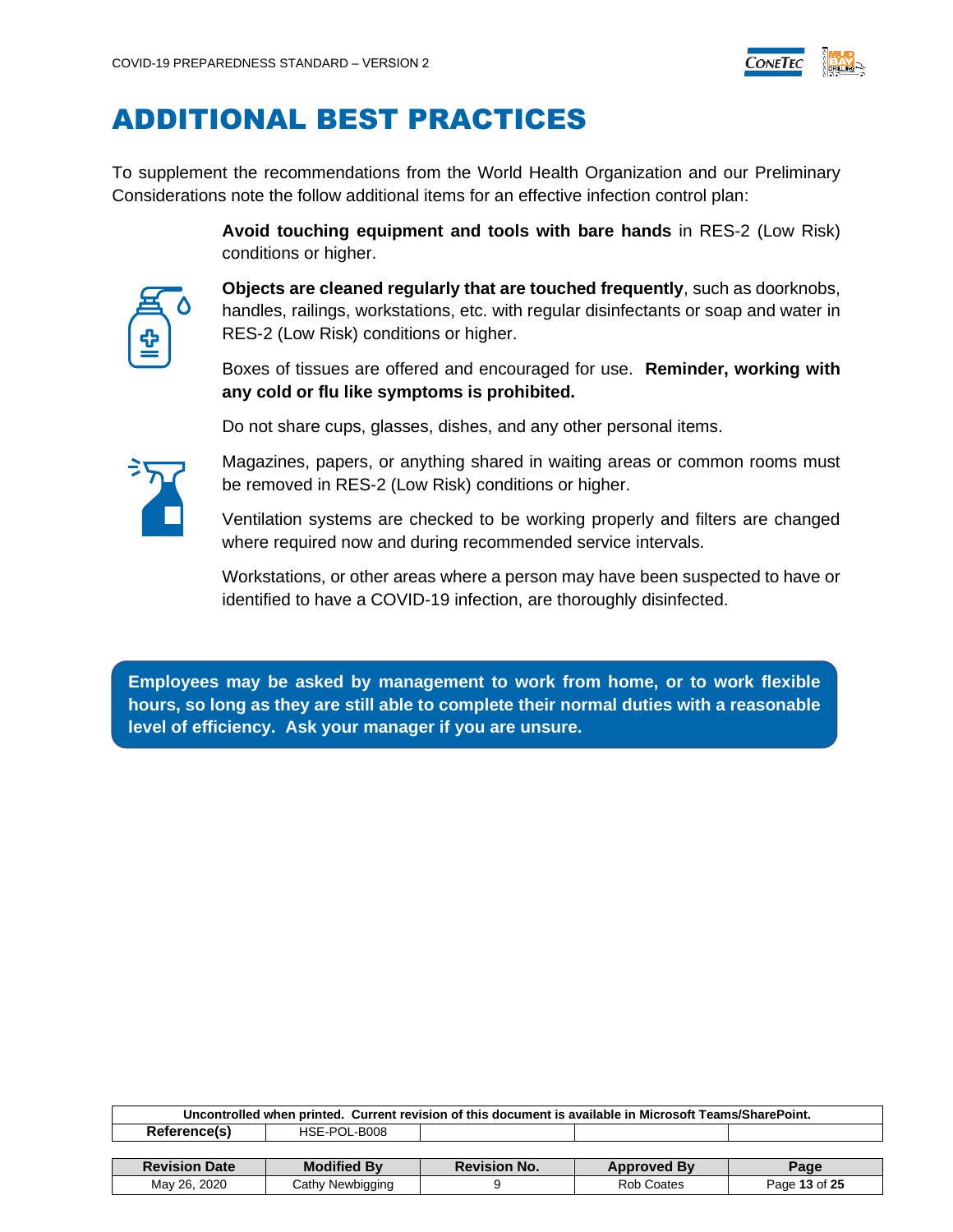

### <span id="page-12-0"></span>ADDITIONAL BEST PRACTICES

To supplement the recommendations from the World Health Organization and our Preliminary Considerations note the follow additional items for an effective infection control plan:

> **Avoid touching equipment and tools with bare hands** in RES-2 (Low Risk) conditions or higher.

**Objects are cleaned regularly that are touched frequently**, such as doorknobs, handles, railings, workstations, etc. with regular disinfectants or soap and water in RES-2 (Low Risk) conditions or higher.

Boxes of tissues are offered and encouraged for use. **Reminder, working with any cold or flu like symptoms is prohibited.**

Do not share cups, glasses, dishes, and any other personal items.



Magazines, papers, or anything shared in waiting areas or common rooms must be removed in RES-2 (Low Risk) conditions or higher.

Ventilation systems are checked to be working properly and filters are changed where required now and during recommended service intervals.

Workstations, or other areas where a person may have been suspected to have or identified to have a COVID-19 infection, are thoroughly disinfected.

**Employees may be asked by management to work from home, or to work flexible hours, so long as they are still able to complete their normal duties with a reasonable level of efficiency. Ask your manager if you are unsure.**

| Uncontrolled when printed. Current revision of this document is available in Microsoft Teams/SharePoint. |                    |                     |                    |               |  |  |
|----------------------------------------------------------------------------------------------------------|--------------------|---------------------|--------------------|---------------|--|--|
| Reference(s)<br>HSE-POL-B008                                                                             |                    |                     |                    |               |  |  |
|                                                                                                          |                    |                     |                    |               |  |  |
| <b>Revision Date</b>                                                                                     | <b>Modified By</b> | <b>Revision No.</b> | <b>Approved By</b> | Page          |  |  |
| May 26, 2020                                                                                             | Cathy Newbigging   |                     | Rob Coates         | Page 13 of 25 |  |  |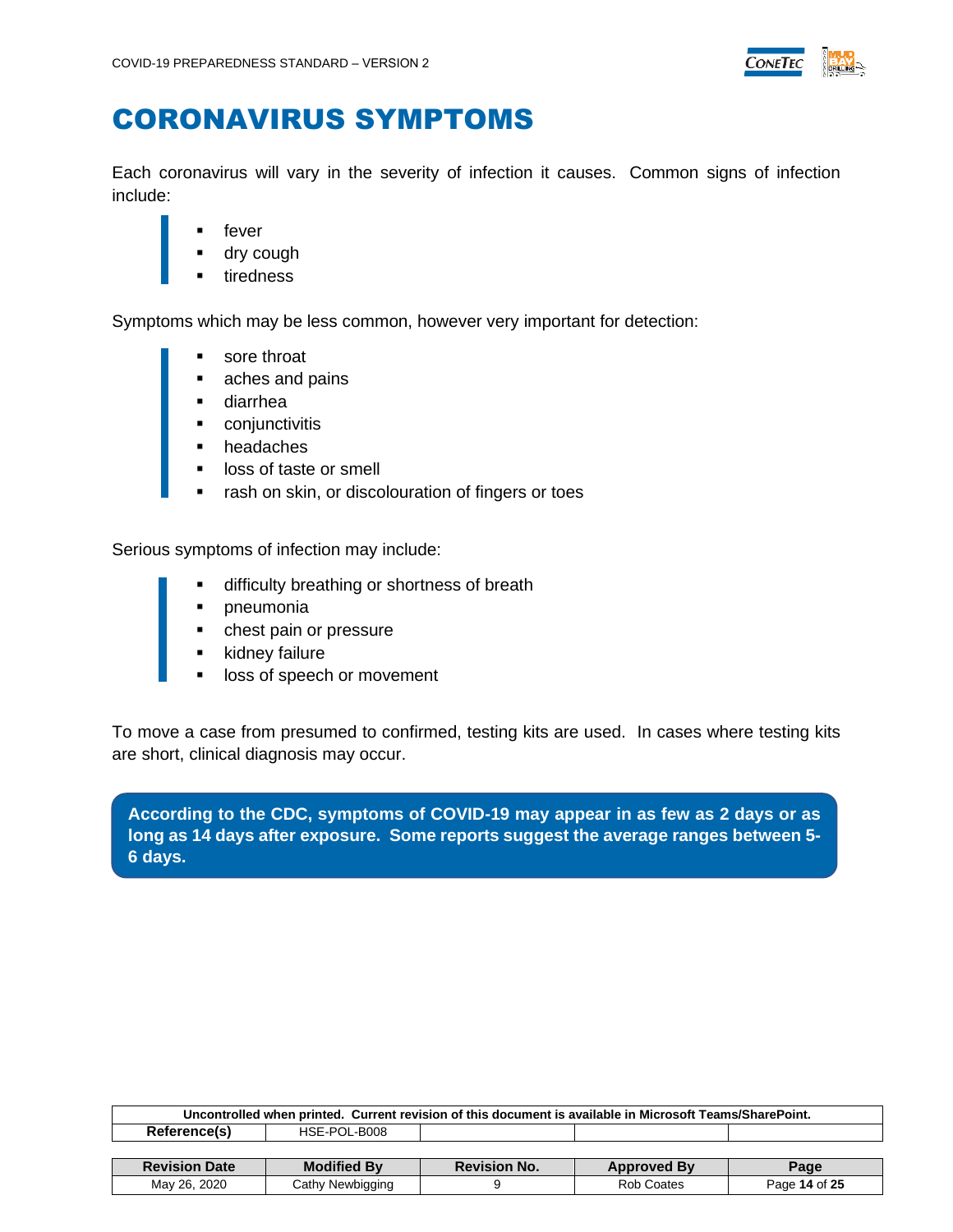

### <span id="page-13-0"></span>CORONAVIRUS SYMPTOMS

Each coronavirus will vary in the severity of infection it causes. Common signs of infection include:

- fever
- dry cough
- tiredness

Symptoms which may be less common, however very important for detection:

- sore throat
- aches and pains
- diarrhea
- conjunctivitis
- headaches
- loss of taste or smell
- rash on skin, or discolouration of fingers or toes

Serious symptoms of infection may include:

- difficulty breathing or shortness of breath
- pneumonia
- chest pain or pressure
- kidney failure
- loss of speech or movement

To move a case from presumed to confirmed, testing kits are used. In cases where testing kits are short, clinical diagnosis may occur.

**According to the CDC, symptoms of COVID-19 may appear in as few as 2 days or as long as 14 days after exposure. Some reports suggest the average ranges between 5- 6 days.**

| Uncontrolled when printed. Current revision of this document is available in Microsoft Teams/SharePoint. |                    |                     |                    |      |  |  |
|----------------------------------------------------------------------------------------------------------|--------------------|---------------------|--------------------|------|--|--|
| Reference(s)<br>HSE-POL-B008                                                                             |                    |                     |                    |      |  |  |
|                                                                                                          |                    |                     |                    |      |  |  |
|                                                                                                          |                    |                     |                    |      |  |  |
| <b>Revision Date</b>                                                                                     | <b>Modified By</b> | <b>Revision No.</b> | <b>Approved By</b> | Page |  |  |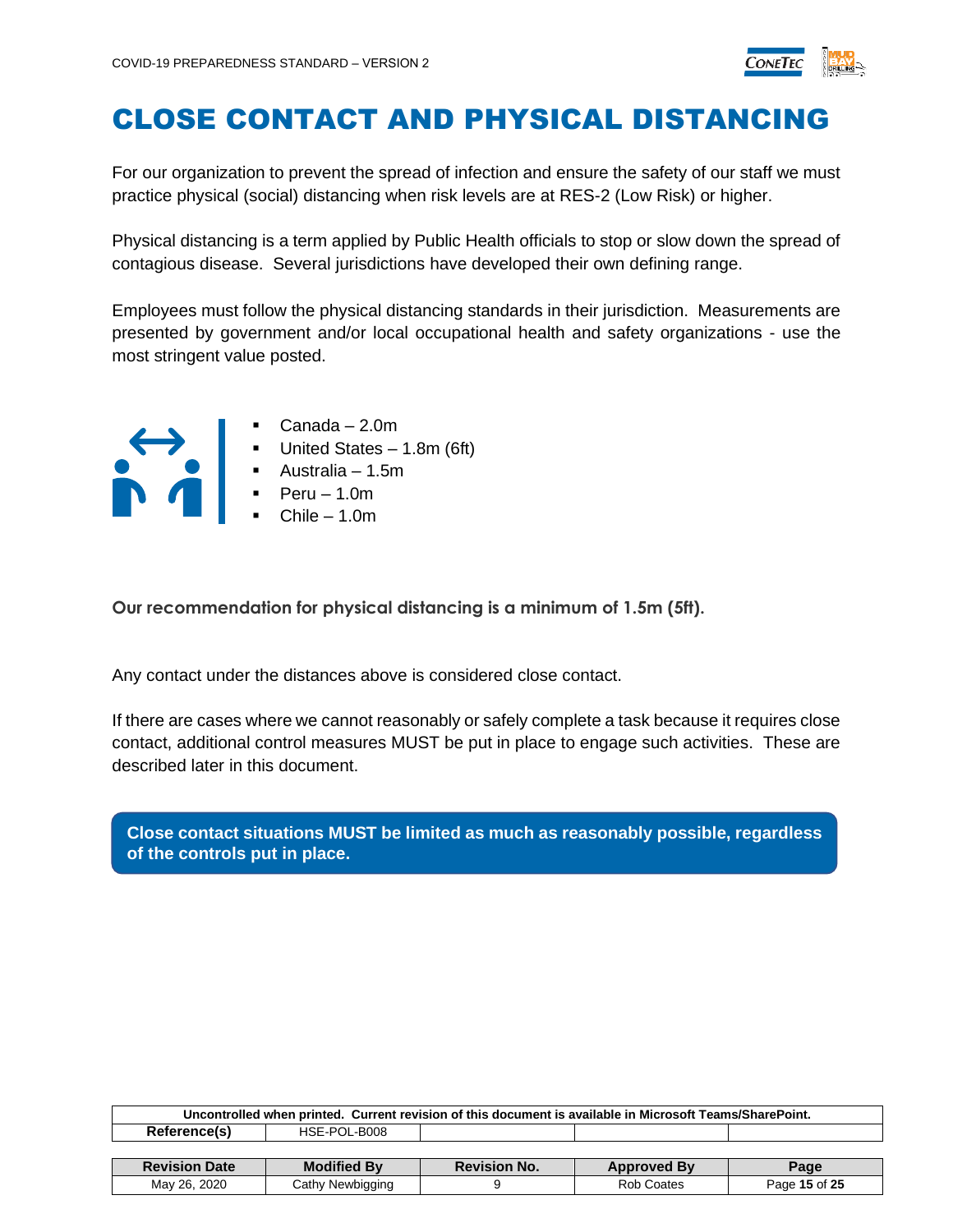

### <span id="page-14-0"></span>CLOSE CONTACT AND PHYSICAL DISTANCING

For our organization to prevent the spread of infection and ensure the safety of our staff we must practice physical (social) distancing when risk levels are at RES-2 (Low Risk) or higher.

Physical distancing is a term applied by Public Health officials to stop or slow down the spread of contagious disease. Several jurisdictions have developed their own defining range.

Employees must follow the physical distancing standards in their jurisdiction. Measurements are presented by government and/or local occupational health and safety organizations - use the most stringent value posted.



- Canada 2.0m
- United States 1.8m (6ft)
- Australia 1.5m
- Peru 1.0m
- Chile 1.0m

**Our recommendation for physical distancing is a minimum of 1.5m (5ft).**

Any contact under the distances above is considered close contact.

If there are cases where we cannot reasonably or safely complete a task because it requires close contact, additional control measures MUST be put in place to engage such activities. These are described later in this document.

**Close contact situations MUST be limited as much as reasonably possible, regardless of the controls put in place.**

| Uncontrolled when printed. Current revision of this document is available in Microsoft Teams/SharePoint. |                    |                     |                    |      |  |
|----------------------------------------------------------------------------------------------------------|--------------------|---------------------|--------------------|------|--|
| Reference(s)<br>HSE-POL-B008                                                                             |                    |                     |                    |      |  |
|                                                                                                          |                    |                     |                    |      |  |
|                                                                                                          |                    |                     |                    |      |  |
| <b>Revision Date</b>                                                                                     | <b>Modified By</b> | <b>Revision No.</b> | <b>Approved By</b> | Page |  |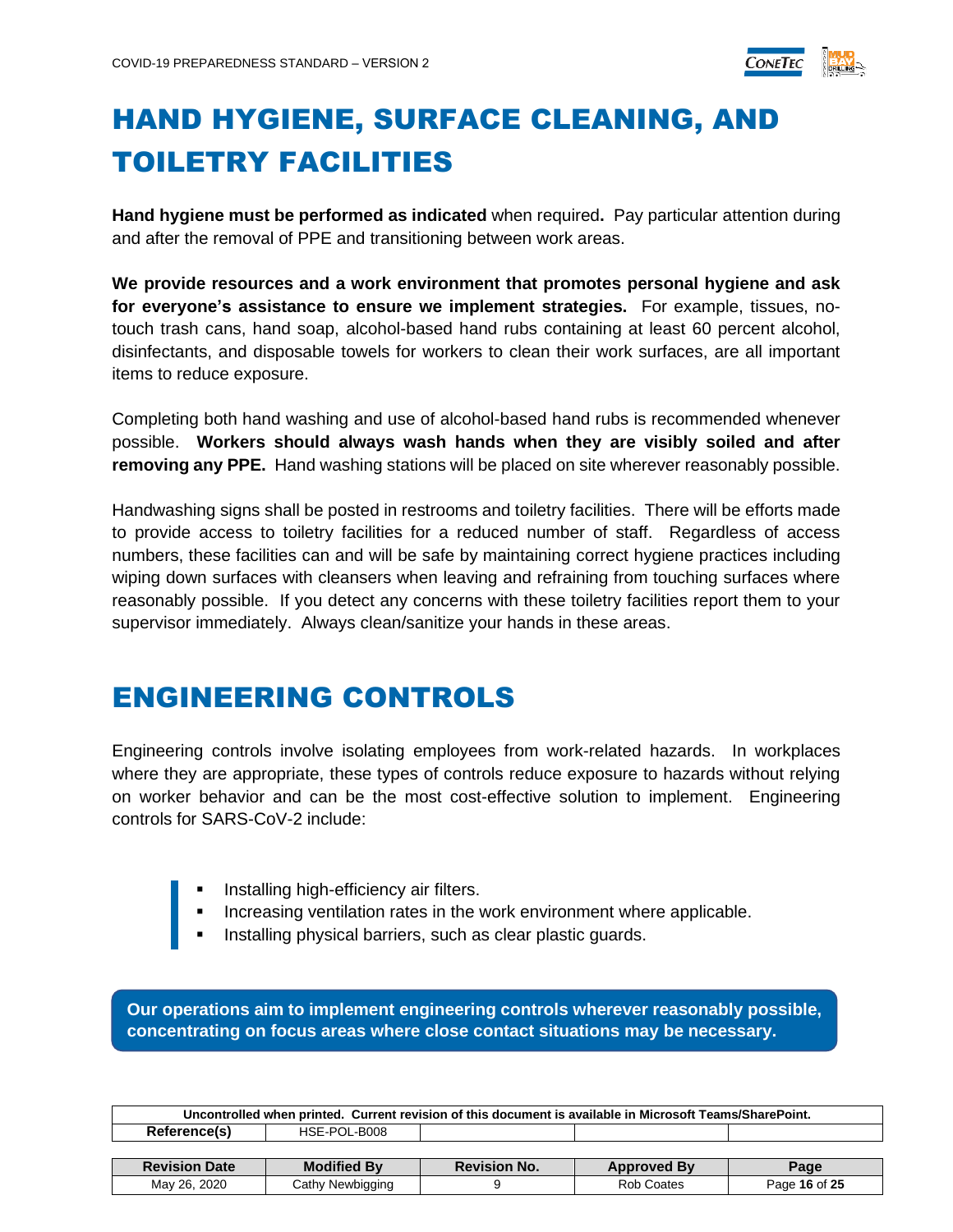

# <span id="page-15-0"></span>HAND HYGIENE, SURFACE CLEANING, AND TOILETRY FACILITIES

**Hand hygiene must be performed as indicated** when required**.** Pay particular attention during and after the removal of PPE and transitioning between work areas.

**We provide resources and a work environment that promotes personal hygiene and ask for everyone's assistance to ensure we implement strategies.** For example, tissues, notouch trash cans, hand soap, alcohol-based hand rubs containing at least 60 percent alcohol, disinfectants, and disposable towels for workers to clean their work surfaces, are all important items to reduce exposure.

Completing both hand washing and use of alcohol-based hand rubs is recommended whenever possible. **Workers should always wash hands when they are visibly soiled and after removing any PPE.** Hand washing stations will be placed on site wherever reasonably possible.

Handwashing signs shall be posted in restrooms and toiletry facilities. There will be efforts made to provide access to toiletry facilities for a reduced number of staff. Regardless of access numbers, these facilities can and will be safe by maintaining correct hygiene practices including wiping down surfaces with cleansers when leaving and refraining from touching surfaces where reasonably possible. If you detect any concerns with these toiletry facilities report them to your supervisor immediately. Always clean/sanitize your hands in these areas.

### <span id="page-15-1"></span>ENGINEERING CONTROLS

Engineering controls involve isolating employees from work-related hazards. In workplaces where they are appropriate, these types of controls reduce exposure to hazards without relying on worker behavior and can be the most cost-effective solution to implement. Engineering controls for SARS-CoV-2 include:

- Installing high-efficiency air filters.
- Increasing ventilation rates in the work environment where applicable.
- **E** Installing physical barriers, such as clear plastic guards.

**Our operations aim to implement engineering controls wherever reasonably possible, concentrating on focus areas where close contact situations may be necessary.**

| Uncontrolled when printed. Current revision of this document is available in Microsoft Teams/SharePoint. |                    |                     |                    |      |  |  |
|----------------------------------------------------------------------------------------------------------|--------------------|---------------------|--------------------|------|--|--|
| Reference(s)<br>HSE-POL-B008                                                                             |                    |                     |                    |      |  |  |
|                                                                                                          |                    |                     |                    |      |  |  |
| <b>Revision Date</b>                                                                                     | <b>Modified By</b> | <b>Revision No.</b> |                    |      |  |  |
|                                                                                                          |                    |                     | <b>Approved By</b> | Page |  |  |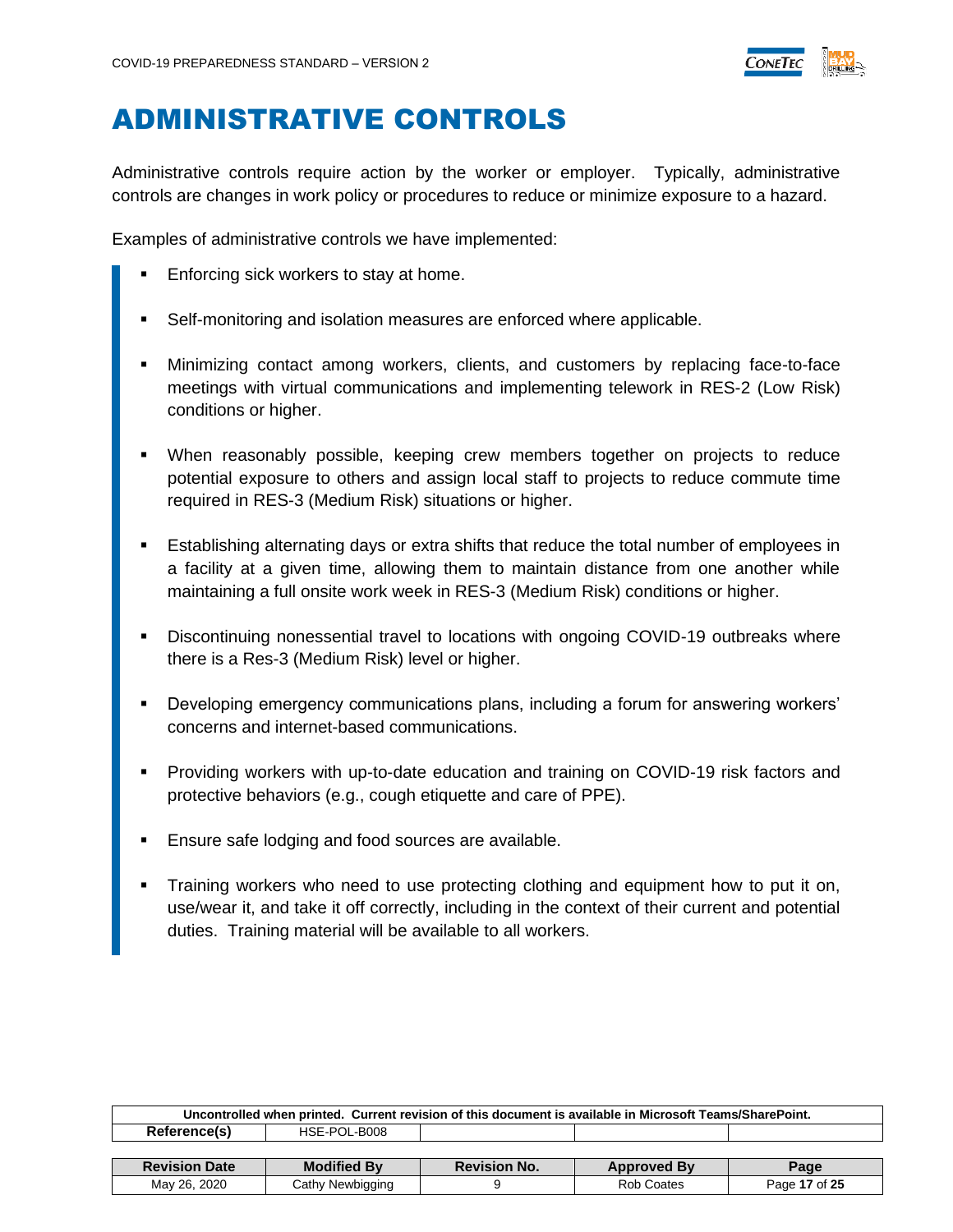

### <span id="page-16-0"></span>ADMINISTRATIVE CONTROLS

Administrative controls require action by the worker or employer. Typically, administrative controls are changes in work policy or procedures to reduce or minimize exposure to a hazard.

Examples of administrative controls we have implemented:

- Enforcing sick workers to stay at home.
- Self-monitoring and isolation measures are enforced where applicable.
- Minimizing contact among workers, clients, and customers by replacing face-to-face meetings with virtual communications and implementing telework in RES-2 (Low Risk) conditions or higher.
- When reasonably possible, keeping crew members together on projects to reduce potential exposure to others and assign local staff to projects to reduce commute time required in RES-3 (Medium Risk) situations or higher.
- Establishing alternating days or extra shifts that reduce the total number of employees in a facility at a given time, allowing them to maintain distance from one another while maintaining a full onsite work week in RES-3 (Medium Risk) conditions or higher.
- Discontinuing nonessential travel to locations with ongoing COVID-19 outbreaks where there is a Res-3 (Medium Risk) level or higher.
- Developing emergency communications plans, including a forum for answering workers' concerns and internet-based communications.
- Providing workers with up-to-date education and training on COVID-19 risk factors and protective behaviors (e.g., cough etiquette and care of PPE).
- Ensure safe lodging and food sources are available.
- Training workers who need to use protecting clothing and equipment how to put it on, use/wear it, and take it off correctly, including in the context of their current and potential duties. Training material will be available to all workers.

| Uncontrolled when printed. Current revision of this document is available in Microsoft Teams/SharePoint. |                    |                     |                    |      |  |
|----------------------------------------------------------------------------------------------------------|--------------------|---------------------|--------------------|------|--|
| Reference(s)<br>HSE-POL-B008                                                                             |                    |                     |                    |      |  |
|                                                                                                          |                    |                     |                    |      |  |
|                                                                                                          |                    |                     |                    |      |  |
| <b>Revision Date</b>                                                                                     | <b>Modified By</b> | <b>Revision No.</b> | <b>Approved By</b> | Page |  |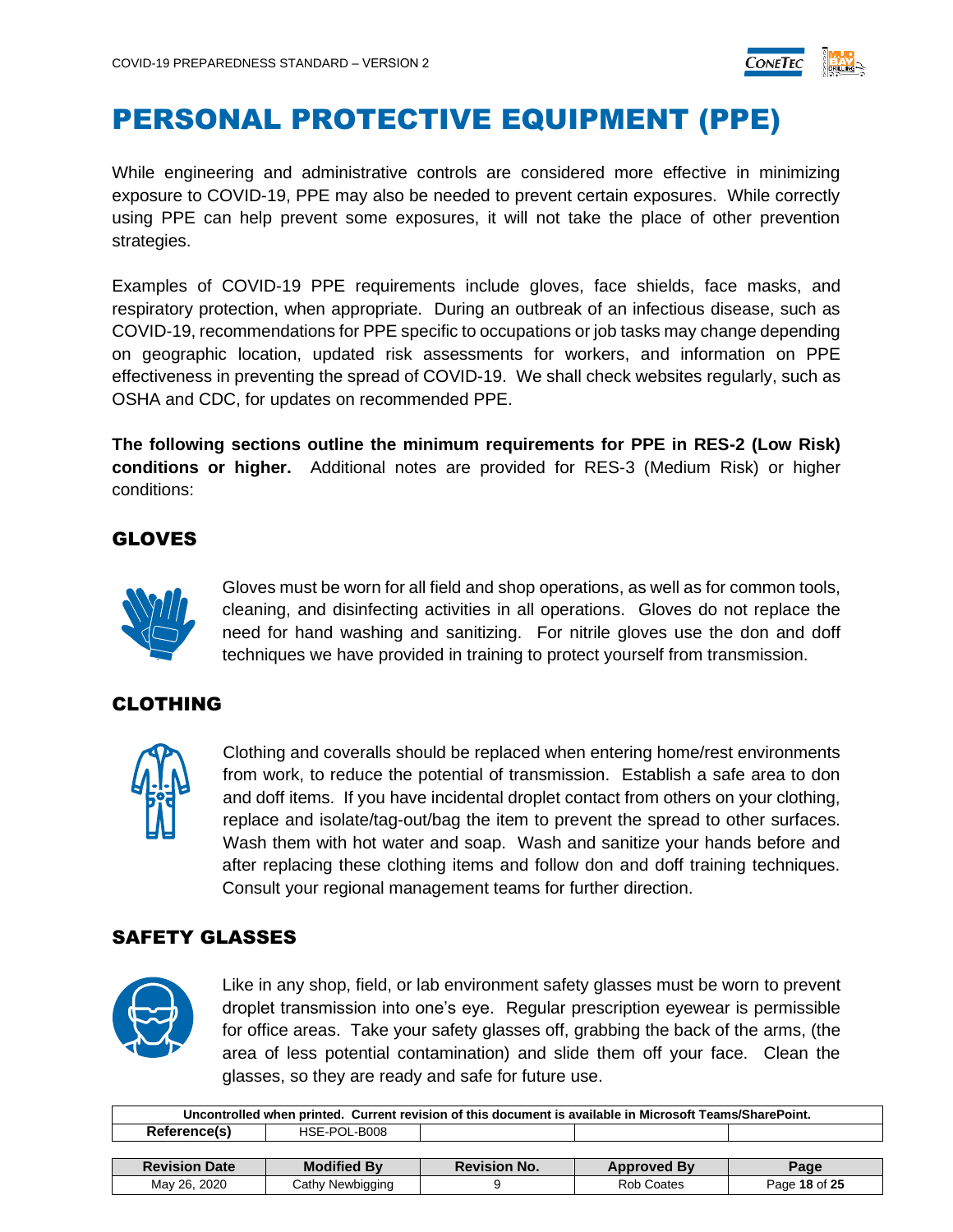

### <span id="page-17-0"></span>PERSONAL PROTECTIVE EQUIPMENT (PPE)

While engineering and administrative controls are considered more effective in minimizing exposure to COVID-19, PPE may also be needed to prevent certain exposures. While correctly using PPE can help prevent some exposures, it will not take the place of other prevention strategies.

Examples of COVID-19 PPE requirements include gloves, face shields, face masks, and respiratory protection, when appropriate. During an outbreak of an infectious disease, such as COVID-19, recommendations for PPE specific to occupations or job tasks may change depending on geographic location, updated risk assessments for workers, and information on PPE effectiveness in preventing the spread of COVID-19. We shall check websites regularly, such as OSHA and CDC, for updates on recommended PPE.

**The following sections outline the minimum requirements for PPE in RES-2 (Low Risk) conditions or higher.** Additional notes are provided for RES-3 (Medium Risk) or higher conditions:

#### <span id="page-17-1"></span>GLOVES



Gloves must be worn for all field and shop operations, as well as for common tools, cleaning, and disinfecting activities in all operations. Gloves do not replace the need for hand washing and sanitizing. For nitrile gloves use the don and doff techniques we have provided in training to protect yourself from transmission.

#### <span id="page-17-2"></span>CLOTHING



Clothing and coveralls should be replaced when entering home/rest environments from work, to reduce the potential of transmission. Establish a safe area to don and doff items. If you have incidental droplet contact from others on your clothing, replace and isolate/tag-out/bag the item to prevent the spread to other surfaces. Wash them with hot water and soap. Wash and sanitize your hands before and after replacing these clothing items and follow don and doff training techniques. Consult your regional management teams for further direction.

#### <span id="page-17-3"></span>SAFETY GLASSES



Like in any shop, field, or lab environment safety glasses must be worn to prevent droplet transmission into one's eye. Regular prescription eyewear is permissible for office areas. Take your safety glasses off, grabbing the back of the arms, (the area of less potential contamination) and slide them off your face. Clean the glasses, so they are ready and safe for future use.

| Uncontrolled when printed. Current revision of this document is available in Microsoft Teams/SharePoint. |                    |                     |                    |               |  |
|----------------------------------------------------------------------------------------------------------|--------------------|---------------------|--------------------|---------------|--|
| Reference(s)                                                                                             | HSE-POL-B008       |                     |                    |               |  |
|                                                                                                          |                    |                     |                    |               |  |
| <b>Revision Date</b>                                                                                     | <b>Modified By</b> | <b>Revision No.</b> | <b>Approved By</b> | Page          |  |
| May 26, 2020                                                                                             | Cathy Newbigging   |                     | Rob Coates         | Page 18 of 25 |  |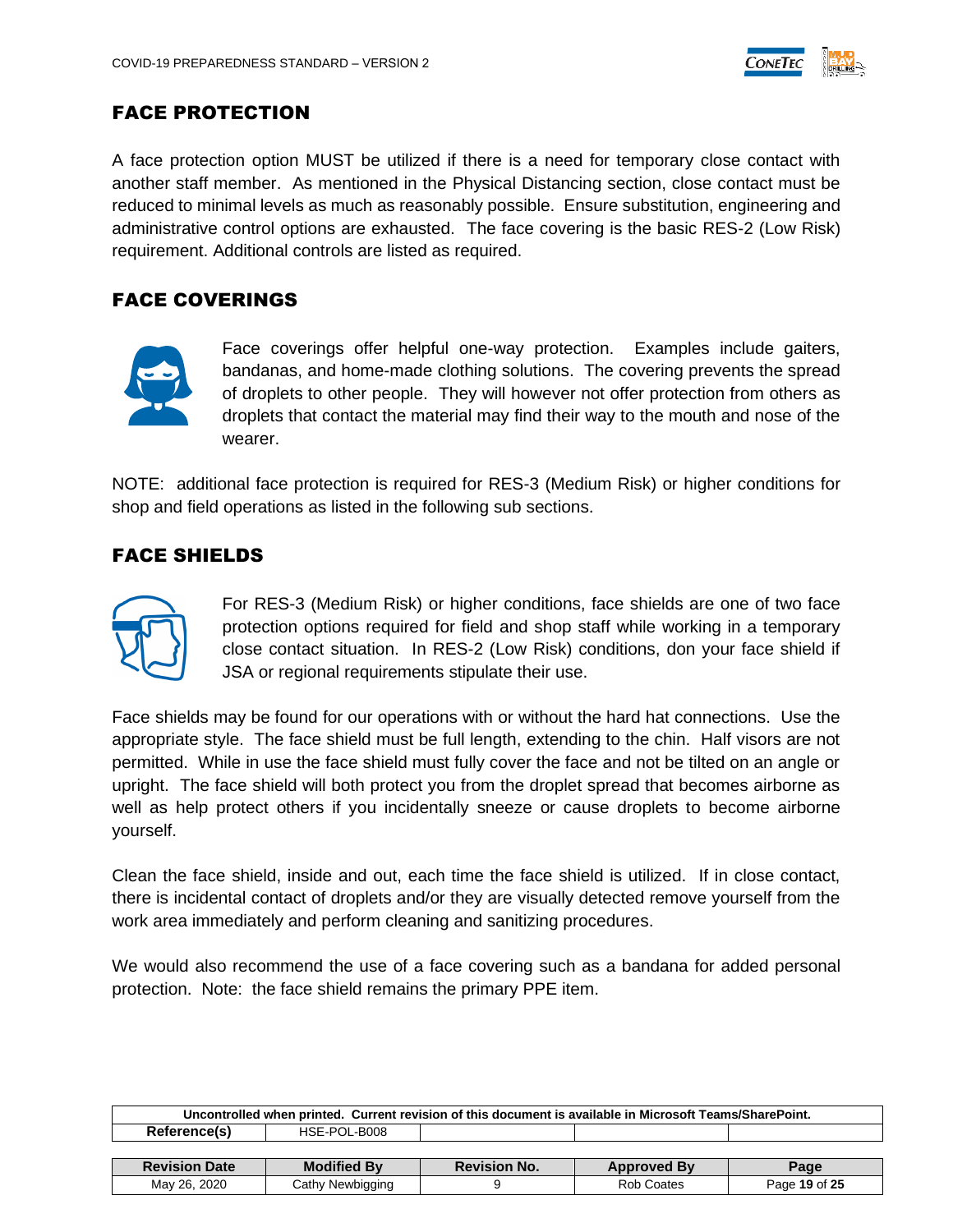

#### <span id="page-18-0"></span>FACE PROTECTION

A face protection option MUST be utilized if there is a need for temporary close contact with another staff member. As mentioned in the Physical Distancing section, close contact must be reduced to minimal levels as much as reasonably possible. Ensure substitution, engineering and administrative control options are exhausted. The face covering is the basic RES-2 (Low Risk) requirement. Additional controls are listed as required.

#### <span id="page-18-1"></span>FACE COVERINGS



Face coverings offer helpful one-way protection. Examples include gaiters, bandanas, and home-made clothing solutions. The covering prevents the spread of droplets to other people. They will however not offer protection from others as droplets that contact the material may find their way to the mouth and nose of the wearer.

NOTE: additional face protection is required for RES-3 (Medium Risk) or higher conditions for shop and field operations as listed in the following sub sections.

#### <span id="page-18-2"></span>FACE SHIELDS



For RES-3 (Medium Risk) or higher conditions, face shields are one of two face protection options required for field and shop staff while working in a temporary close contact situation. In RES-2 (Low Risk) conditions, don your face shield if JSA or regional requirements stipulate their use.

Face shields may be found for our operations with or without the hard hat connections. Use the appropriate style. The face shield must be full length, extending to the chin. Half visors are not permitted. While in use the face shield must fully cover the face and not be tilted on an angle or upright. The face shield will both protect you from the droplet spread that becomes airborne as well as help protect others if you incidentally sneeze or cause droplets to become airborne yourself.

Clean the face shield, inside and out, each time the face shield is utilized. If in close contact, there is incidental contact of droplets and/or they are visually detected remove yourself from the work area immediately and perform cleaning and sanitizing procedures.

We would also recommend the use of a face covering such as a bandana for added personal protection. Note: the face shield remains the primary PPE item.

| Uncontrolled when printed. Current revision of this document is available in Microsoft Teams/SharePoint. |                    |                     |                    |               |  |  |
|----------------------------------------------------------------------------------------------------------|--------------------|---------------------|--------------------|---------------|--|--|
| Reference(s)                                                                                             | HSE-POL-B008       |                     |                    |               |  |  |
|                                                                                                          |                    |                     |                    |               |  |  |
| <b>Revision Date</b>                                                                                     | <b>Modified By</b> | <b>Revision No.</b> | <b>Approved By</b> | Page          |  |  |
| May 26, 2020                                                                                             | Cathy Newbigging   |                     | <b>Rob Coates</b>  | Page 19 of 25 |  |  |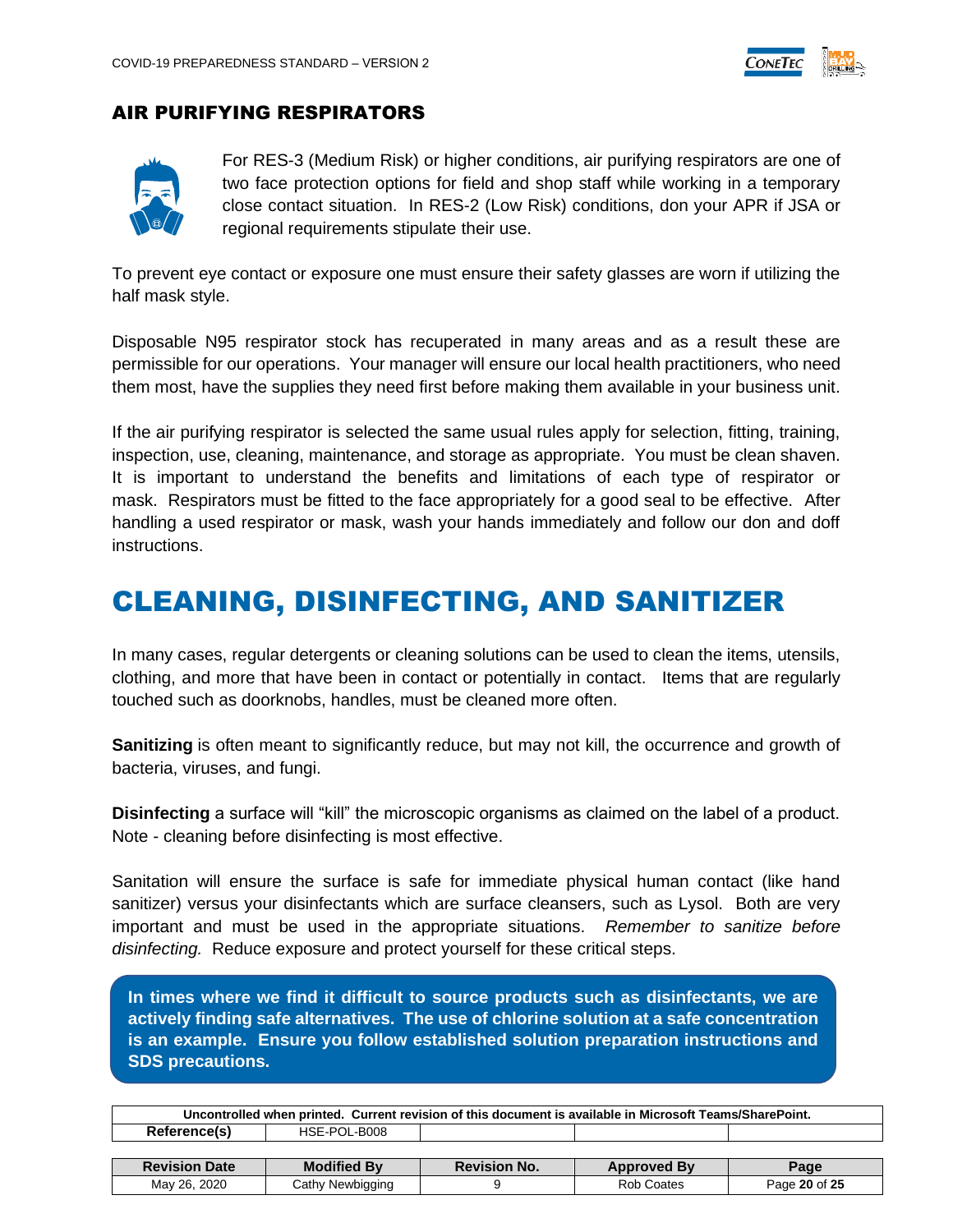

#### <span id="page-19-0"></span>AIR PURIFYING RESPIRATORS



For RES-3 (Medium Risk) or higher conditions, air purifying respirators are one of two face protection options for field and shop staff while working in a temporary close contact situation. In RES-2 (Low Risk) conditions, don your APR if JSA or regional requirements stipulate their use.

To prevent eye contact or exposure one must ensure their safety glasses are worn if utilizing the half mask style.

Disposable N95 respirator stock has recuperated in many areas and as a result these are permissible for our operations. Your manager will ensure our local health practitioners, who need them most, have the supplies they need first before making them available in your business unit.

If the air purifying respirator is selected the same usual rules apply for selection, fitting, training, inspection, use, cleaning, maintenance, and storage as appropriate. You must be clean shaven. It is important to understand the benefits and limitations of each type of respirator or mask. Respirators must be fitted to the face appropriately for a good seal to be effective. After handling a used respirator or mask, wash your hands immediately and follow our don and doff instructions.

#### <span id="page-19-1"></span>CLEANING, DISINFECTING, AND SANITIZER

In many cases, regular detergents or cleaning solutions can be used to clean the items, utensils, clothing, and more that have been in contact or potentially in contact. Items that are regularly touched such as doorknobs, handles, must be cleaned more often.

**Sanitizing** is often meant to significantly reduce, but may not kill, the occurrence and growth of bacteria, viruses, and fungi.

**Disinfecting** a surface will "kill" the microscopic organisms as claimed on the label of a product. Note - cleaning before disinfecting is most effective.

Sanitation will ensure the surface is safe for immediate physical human contact (like hand sanitizer) versus your disinfectants which are surface cleansers, such as Lysol. Both are very important and must be used in the appropriate situations. *Remember to sanitize before disinfecting.* Reduce exposure and protect yourself for these critical steps.

**In times where we find it difficult to source products such as disinfectants, we are actively finding safe alternatives. The use of chlorine solution at a safe concentration is an example. Ensure you follow established solution preparation instructions and SDS precautions.**

| Uncontrolled when printed. Current revision of this document is available in Microsoft Teams/SharePoint. |                    |                     |                    |               |  |
|----------------------------------------------------------------------------------------------------------|--------------------|---------------------|--------------------|---------------|--|
| Reference(s)                                                                                             | HSE-POL-B008       |                     |                    |               |  |
|                                                                                                          |                    |                     |                    |               |  |
| <b>Revision Date</b>                                                                                     | <b>Modified By</b> | <b>Revision No.</b> | <b>Approved By</b> | Page          |  |
| May 26, 2020                                                                                             | Cathy Newbigging   |                     | Rob Coates         | Page 20 of 25 |  |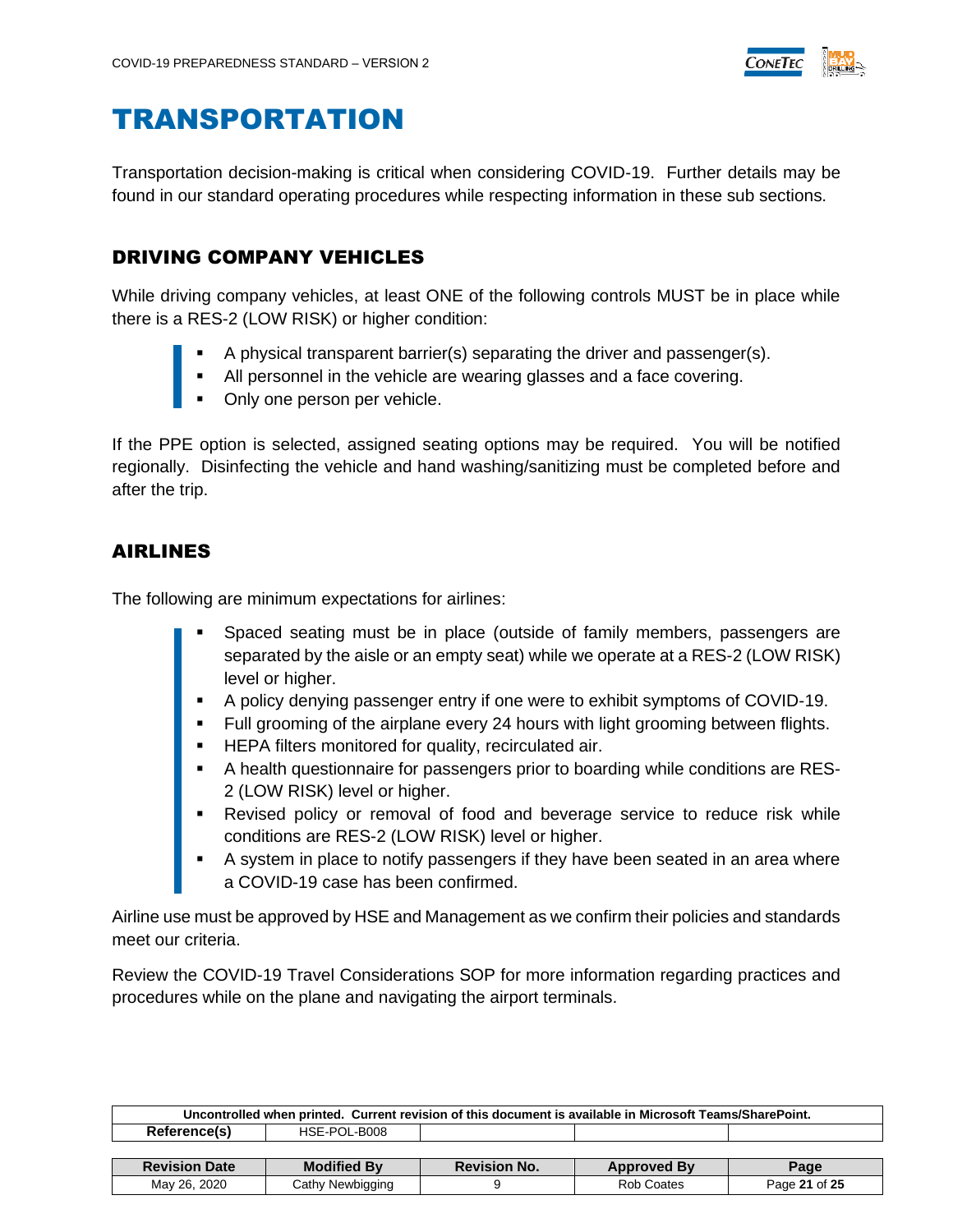

#### <span id="page-20-0"></span>TRANSPORTATION

Transportation decision-making is critical when considering COVID-19. Further details may be found in our standard operating procedures while respecting information in these sub sections.

#### <span id="page-20-1"></span>DRIVING COMPANY VEHICLES

While driving company vehicles, at least ONE of the following controls MUST be in place while there is a RES-2 (LOW RISK) or higher condition:

- A physical transparent barrier(s) separating the driver and passenger(s).
- All personnel in the vehicle are wearing glasses and a face covering.
- Only one person per vehicle.

If the PPE option is selected, assigned seating options may be required. You will be notified regionally. Disinfecting the vehicle and hand washing/sanitizing must be completed before and after the trip.

#### <span id="page-20-2"></span>AIRLINES

The following are minimum expectations for airlines:

- Spaced seating must be in place (outside of family members, passengers are separated by the aisle or an empty seat) while we operate at a RES-2 (LOW RISK) level or higher.
- A policy denying passenger entry if one were to exhibit symptoms of COVID-19.
- Full grooming of the airplane every 24 hours with light grooming between flights.
- **EXECTE HEPA filters monitored for quality, recirculated air.**
- A health questionnaire for passengers prior to boarding while conditions are RES-2 (LOW RISK) level or higher.
- **EXECT** Revised policy or removal of food and beverage service to reduce risk while conditions are RES-2 (LOW RISK) level or higher.
- A system in place to notify passengers if they have been seated in an area where a COVID-19 case has been confirmed.

Airline use must be approved by HSE and Management as we confirm their policies and standards meet our criteria.

Review the COVID-19 Travel Considerations SOP for more information regarding practices and procedures while on the plane and navigating the airport terminals.

| Uncontrolled when printed. Current revision of this document is available in Microsoft Teams/SharePoint. |                    |                     |                    |               |  |
|----------------------------------------------------------------------------------------------------------|--------------------|---------------------|--------------------|---------------|--|
| Reference(s)                                                                                             | HSE-POL-B008       |                     |                    |               |  |
|                                                                                                          |                    |                     |                    |               |  |
| <b>Revision Date</b>                                                                                     | <b>Modified By</b> | <b>Revision No.</b> | <b>Approved By</b> | Page          |  |
| May 26, 2020                                                                                             | Cathy Newbigging   |                     | Rob Coates         | Page 21 of 25 |  |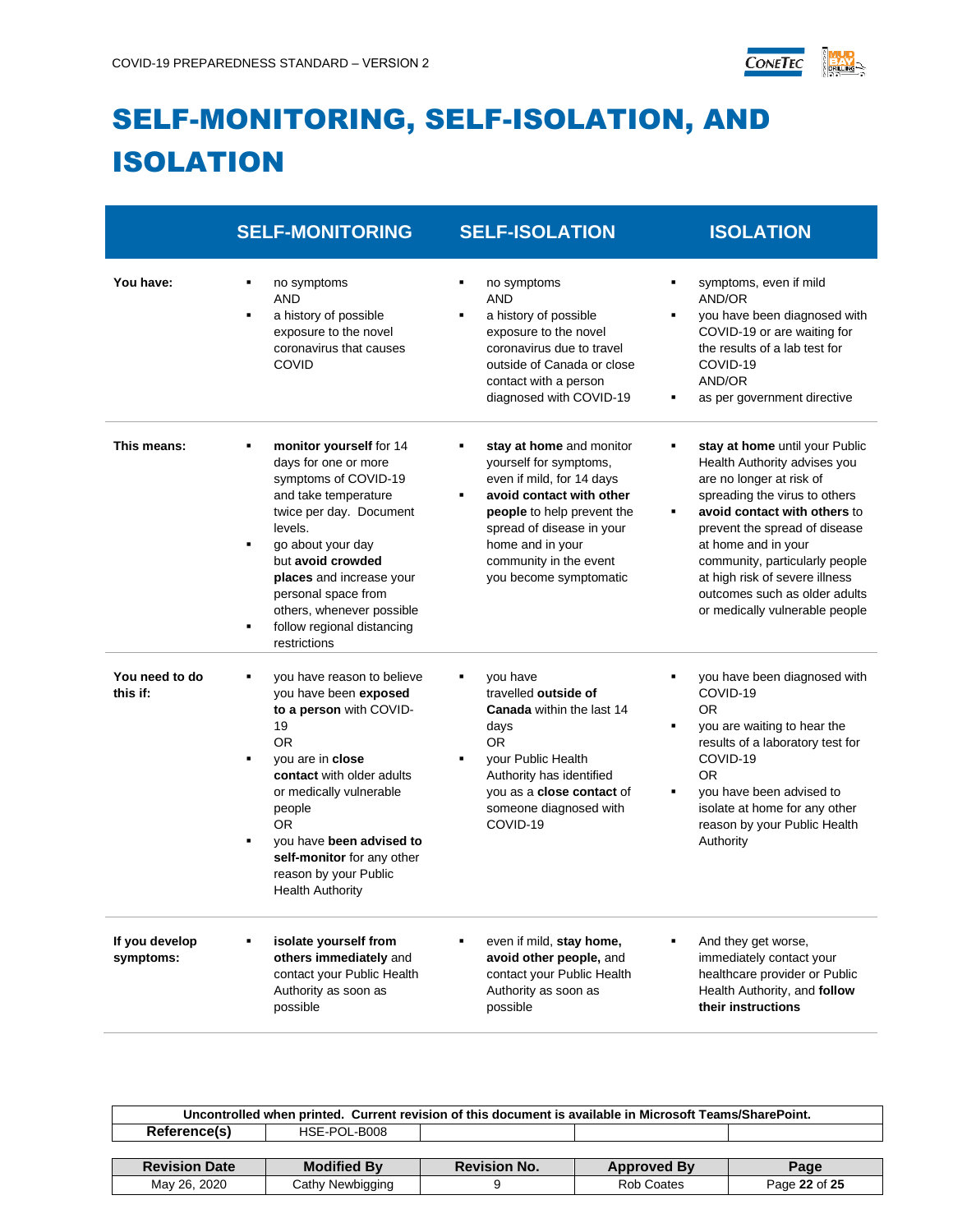

# <span id="page-21-0"></span>SELF-MONITORING, SELF-ISOLATION, AND ISOLATION

|                             | <b>SELF-MONITORING</b>                                                                                                                                                                                                                                                                                                       | <b>SELF-ISOLATION</b>                                                                                                                                                                                                                                    | <b>ISOLATION</b>                                                                                                                                                                                                                                                                                                                                           |
|-----------------------------|------------------------------------------------------------------------------------------------------------------------------------------------------------------------------------------------------------------------------------------------------------------------------------------------------------------------------|----------------------------------------------------------------------------------------------------------------------------------------------------------------------------------------------------------------------------------------------------------|------------------------------------------------------------------------------------------------------------------------------------------------------------------------------------------------------------------------------------------------------------------------------------------------------------------------------------------------------------|
| You have:                   | no symptoms<br><b>AND</b><br>a history of possible<br>$\blacksquare$<br>exposure to the novel<br>coronavirus that causes<br>COVID                                                                                                                                                                                            | no symptoms<br>٠<br><b>AND</b><br>a history of possible<br>$\blacksquare$<br>exposure to the novel<br>coronavirus due to travel<br>outside of Canada or close<br>contact with a person<br>diagnosed with COVID-19                                        | symptoms, even if mild<br>AND/OR<br>you have been diagnosed with<br>COVID-19 or are waiting for<br>the results of a lab test for<br>COVID-19<br>AND/OR<br>as per government directive                                                                                                                                                                      |
| This means:                 | monitor yourself for 14<br>days for one or more<br>symptoms of COVID-19<br>and take temperature<br>twice per day. Document<br>levels.<br>go about your day<br>٠<br>but avoid crowded<br>places and increase your<br>personal space from<br>others, whenever possible<br>follow regional distancing<br>٠<br>restrictions      | stay at home and monitor<br>٠<br>yourself for symptoms,<br>even if mild, for 14 days<br>avoid contact with other<br>٠<br>people to help prevent the<br>spread of disease in your<br>home and in your<br>community in the event<br>you become symptomatic | stay at home until your Public<br>Health Authority advises you<br>are no longer at risk of<br>spreading the virus to others<br>avoid contact with others to<br>prevent the spread of disease<br>at home and in your<br>community, particularly people<br>at high risk of severe illness<br>outcomes such as older adults<br>or medically vulnerable people |
| You need to do<br>this if:  | you have reason to believe<br>you have been exposed<br>to a person with COVID-<br>19<br><b>OR</b><br>you are in close<br>٠<br>contact with older adults<br>or medically vulnerable<br>people<br><b>OR</b><br>you have been advised to<br>٠<br>self-monitor for any other<br>reason by your Public<br><b>Health Authority</b> | you have<br>travelled outside of<br><b>Canada</b> within the last 14<br>days<br>OR.<br>your Public Health<br>$\blacksquare$<br>Authority has identified<br>you as a close contact of<br>someone diagnosed with<br>COVID-19                               | you have been diagnosed with<br>COVID-19<br>0R<br>you are waiting to hear the<br>٠<br>results of a laboratory test for<br>COVID-19<br>0R<br>you have been advised to<br>٠<br>isolate at home for any other<br>reason by your Public Health<br>Authority                                                                                                    |
| If you develop<br>symptoms: | isolate yourself from<br>others immediately and<br>contact your Public Health<br>Authority as soon as<br>possible                                                                                                                                                                                                            | even if mild, stay home,<br>avoid other people, and<br>contact your Public Health<br>Authority as soon as<br>possible                                                                                                                                    | And they get worse,<br>immediately contact your<br>healthcare provider or Public<br>Health Authority, and follow<br>their instructions                                                                                                                                                                                                                     |

| Uncontrolled when printed. Current revision of this document is available in Microsoft Teams/SharePoint. |                    |                     |                    |               |  |
|----------------------------------------------------------------------------------------------------------|--------------------|---------------------|--------------------|---------------|--|
| Reference(s)                                                                                             | HSE-POL-B008       |                     |                    |               |  |
|                                                                                                          |                    |                     |                    |               |  |
| <b>Revision Date</b>                                                                                     | <b>Modified By</b> | <b>Revision No.</b> | <b>Approved By</b> | Page          |  |
| May 26, 2020                                                                                             | Cathy Newbigging   |                     | Rob Coates         | Page 22 of 25 |  |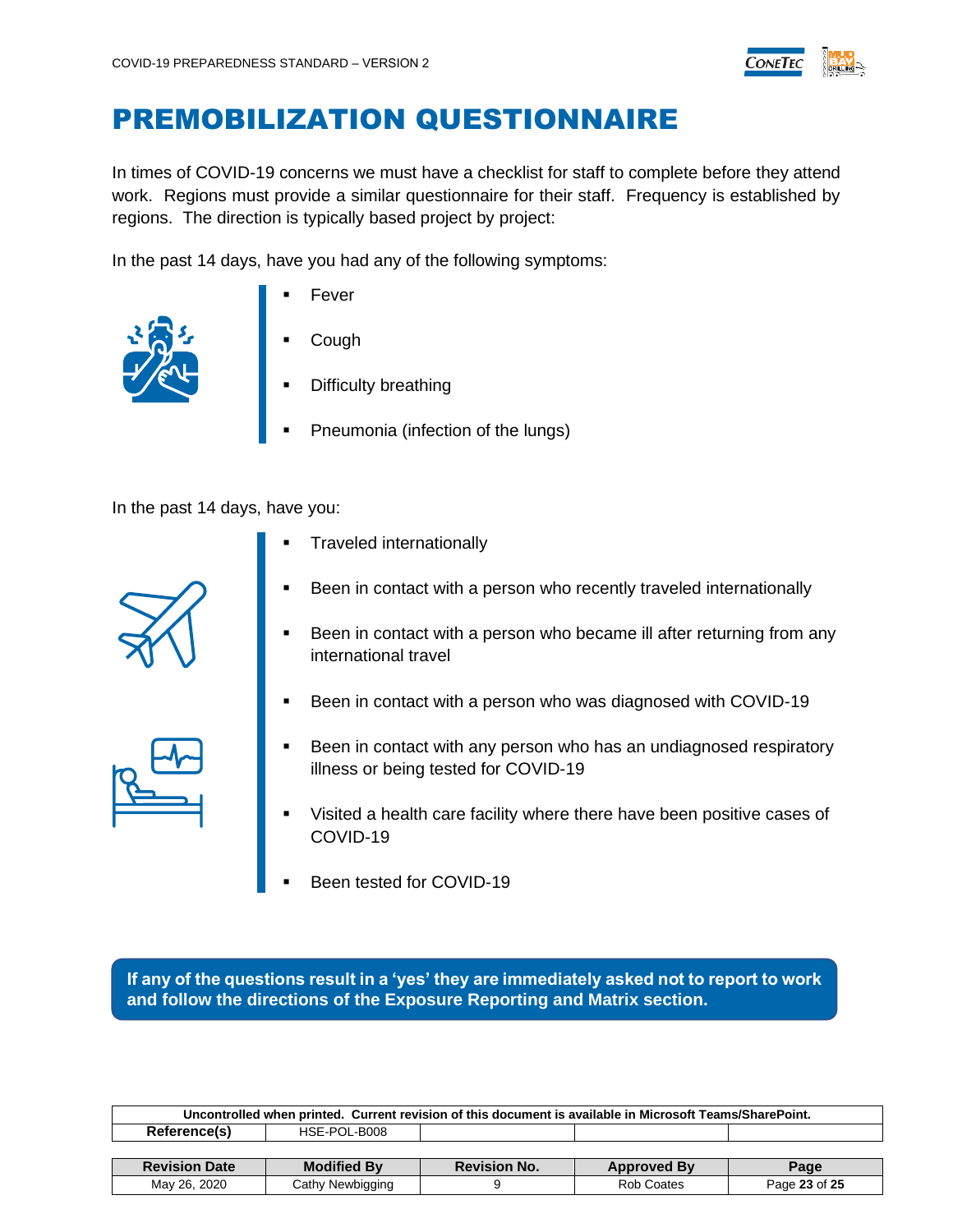

### <span id="page-22-0"></span>PREMOBILIZATION QUESTIONNAIRE

In times of COVID-19 concerns we must have a checklist for staff to complete before they attend work. Regions must provide a similar questionnaire for their staff. Frequency is established by regions. The direction is typically based project by project:

In the past 14 days, have you had any of the following symptoms:



- **Fever**
- **Cough**
- **Difficulty breathing**
- Pneumonia (infection of the lungs)

In the past 14 days, have you:

- **Traveled internationally**
- Been in contact with a person who recently traveled internationally
- Been in contact with a person who became ill after returning from any international travel
- Been in contact with a person who was diagnosed with COVID-19



- Been in contact with any person who has an undiagnosed respiratory illness or being tested for COVID-19
- Visited a health care facility where there have been positive cases of COVID-19
- Been tested for COVID-19

**If any of the questions result in a 'yes' they are immediately asked not to report to work and follow the directions of the Exposure Reporting and Matrix section.** 

| Uncontrolled when printed. Current revision of this document is available in Microsoft Teams/SharePoint. |                    |                     |                    |               |  |
|----------------------------------------------------------------------------------------------------------|--------------------|---------------------|--------------------|---------------|--|
| Reference(s)                                                                                             | HSE-POL-B008       |                     |                    |               |  |
|                                                                                                          |                    |                     |                    |               |  |
| <b>Revision Date</b>                                                                                     | <b>Modified By</b> | <b>Revision No.</b> | <b>Approved By</b> | Page          |  |
| May 26, 2020                                                                                             | Cathy Newbigging   |                     | Rob Coates         | Page 23 of 25 |  |

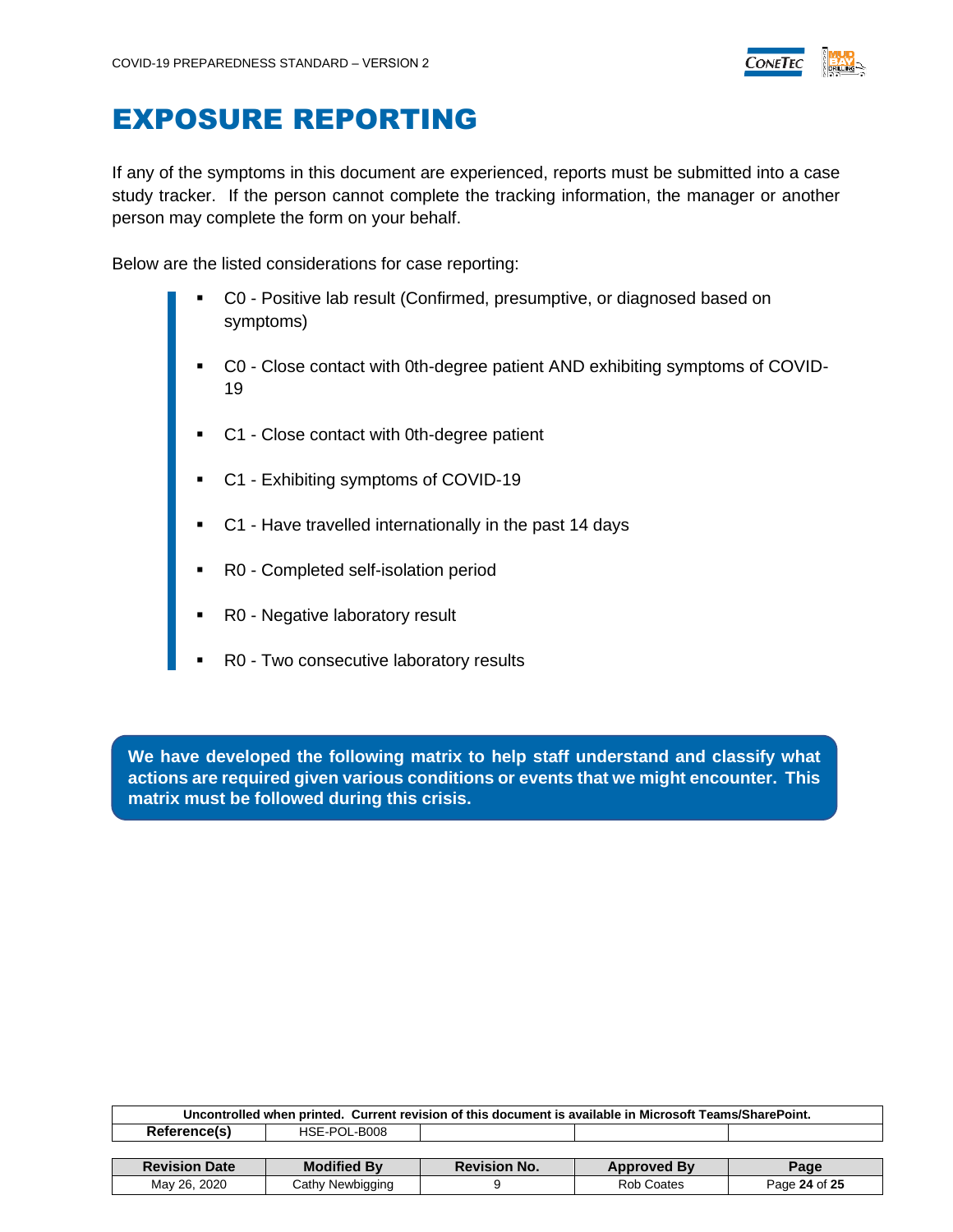

#### <span id="page-23-0"></span>EXPOSURE REPORTING

If any of the symptoms in this document are experienced, reports must be submitted into a case study tracker. If the person cannot complete the tracking information, the manager or another person may complete the form on your behalf.

Below are the listed considerations for case reporting:

- C0 Positive lab result (Confirmed, presumptive, or diagnosed based on symptoms)
- C0 Close contact with 0th-degree patient AND exhibiting symptoms of COVID-19
- C1 Close contact with 0th-degree patient
- C1 Exhibiting symptoms of COVID-19
- C1 Have travelled internationally in the past 14 days
- R0 Completed self-isolation period
- R0 Negative laboratory result
- R0 Two consecutive laboratory results

**We have developed the following matrix to help staff understand and classify what actions are required given various conditions or events that we might encounter. This matrix must be followed during this crisis.**

| Uncontrolled when printed. Current revision of this document is available in Microsoft Teams/SharePoint. |                    |                     |                    |               |  |
|----------------------------------------------------------------------------------------------------------|--------------------|---------------------|--------------------|---------------|--|
| Reference(s)                                                                                             | HSE-POL-B008       |                     |                    |               |  |
|                                                                                                          |                    |                     |                    |               |  |
| <b>Revision Date</b>                                                                                     | <b>Modified By</b> | <b>Revision No.</b> | <b>Approved By</b> | Page          |  |
| May 26, 2020                                                                                             | Cathy Newbigging   |                     | <b>Rob Coates</b>  | Page 24 of 25 |  |